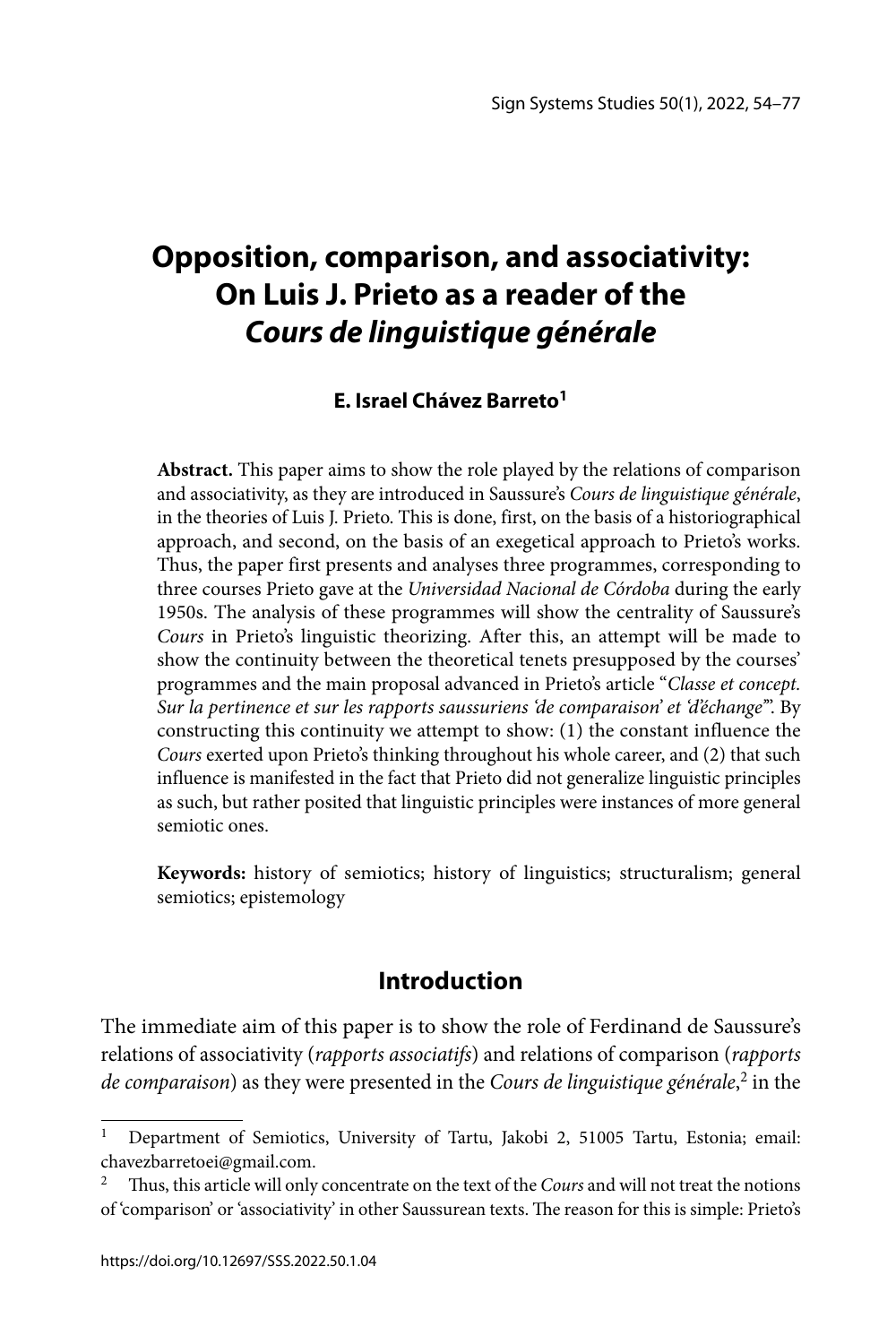# **Opposition, comparison, and associativity: On Luis J. Prieto as a reader of the**  *Cours de linguistique générale*

#### **E. Israel Chávez Barreto1**

**Abstract.** This paper aims to show the role played by the relations of comparison and associativity, as they are introduced in Saussure's *Cours de linguistique générale*, in the theories of Luis J. Prieto. This is done, first, on the basis of a historiographical approach, and second, on the basis of an exegetical approach to Prieto's works. Thus, the paper first presents and analyses three programmes, corresponding to three courses Prieto gave at the *Universidad Nacional de Córdoba* during the early 1950s. The analysis of these programmes will show the centrality of Saussure's *Cours* in Prieto's linguistic theorizing. After this, an attempt will be made to show the continuity between the theoretical tenets presupposed by the courses' programmes and the main proposal advanced in Prieto's article "*Classe et concept. Sur la pertinence et sur les rapports saussuriens 'de comparaison' et 'd'échange'*". By constructing this continuity we attempt to show: (1) the constant influence the *Cours* exerted upon Prieto's thinking throughout his whole career, and (2) that such influence is manifested in the fact that Prieto did not generalize linguistic principles as such, but rather posited that linguistic principles were instances of more general semiotic ones.

**Keywords:** history of semiotics; history of linguistics; structuralism; general semiotics; epistemology

## **Introduction**

The immediate aim of this paper is to show the role of Ferdinand de Saussure's relations of associativity (*rapports associatifs*) and relations of comparison (*rapports de comparaison*) as they were presented in the *Cours de linguistique générale*, 2 in the

<sup>&</sup>lt;sup>1</sup> Department of Semiotics, University of Tartu, Jakobi 2, 51005 Tartu, Estonia; email: chavezbarretoei@gmail.com.

Thus, this article will only concentrate on the text of the *Cours* and will not treat the notions of 'comparison' or 'associativity' in other Saussurean texts. The reason for this is simple: Prieto's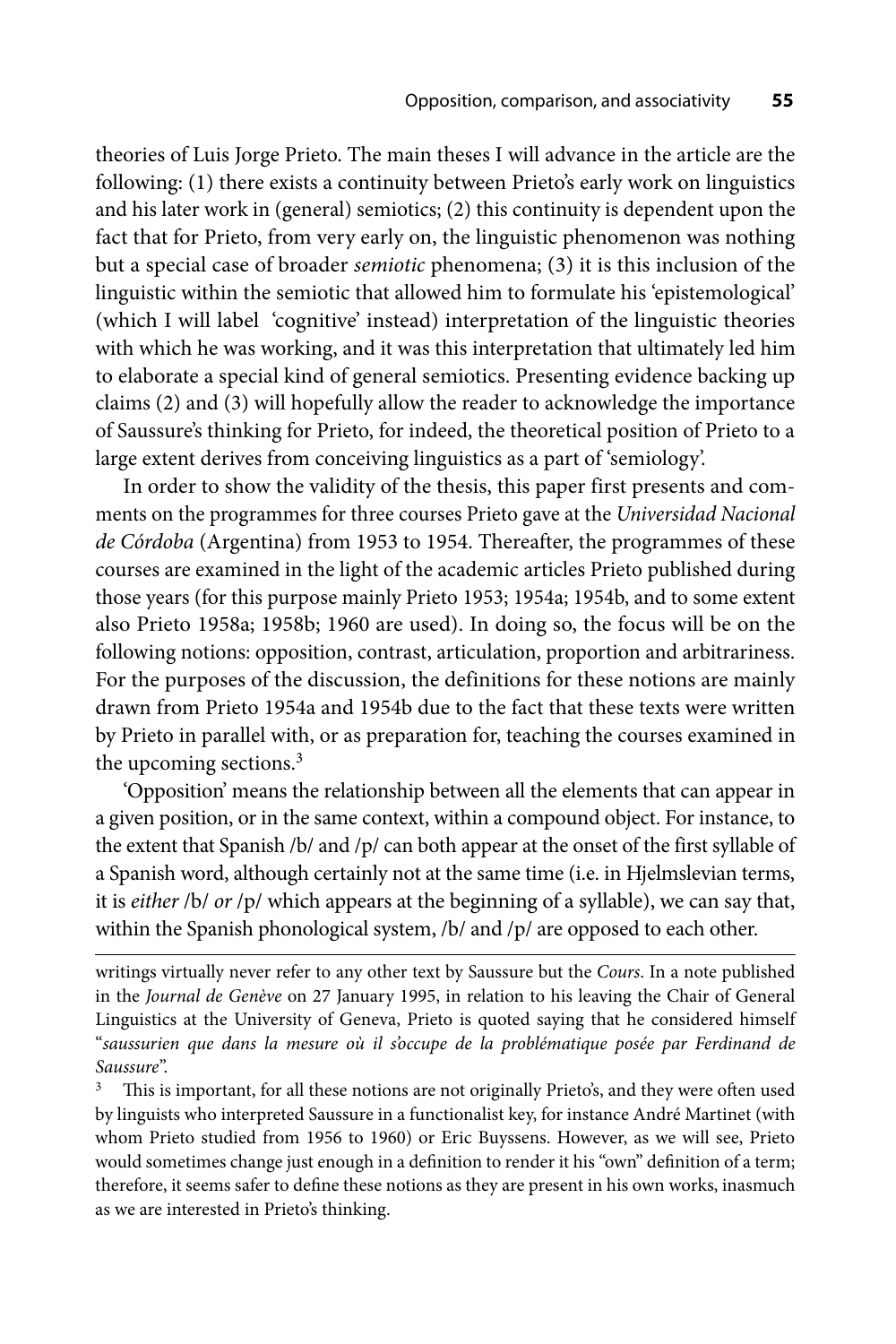theories of Luis Jorge Prieto. The main theses I will advance in the article are the following: (1) there exists a continuity between Prieto's early work on linguistics and his later work in (general) semiotics; (2) this continuity is dependent upon the fact that for Prieto, from very early on, the linguistic phenomenon was nothing but a special case of broader *semiotic* phenomena; (3) it is this inclusion of the linguistic within the semiotic that allowed him to formulate his 'epistemological' (which I will label 'cognitive' instead) interpretation of the linguistic theories with which he was working, and it was this interpretation that ultimately led him to elaborate a special kind of general semiotics. Presenting evidence backing up claims (2) and (3) will hopefully allow the reader to acknowledge the importance of Saussure's thinking for Prieto, for indeed, the theoretical position of Prieto to a large extent derives from conceiving linguistics as a part of 'semiology'.

In order to show the validity of the thesis, this paper first presents and comments on the programmes for three courses Prieto gave at the *Universidad Nacional de Córdoba* (Argentina) from 1953 to 1954. Thereafter, the programmes of these courses are examined in the light of the academic articles Prieto published during those years (for this purpose mainly Prieto 1953; 1954a; 1954b, and to some extent also Prieto 1958a; 1958b; 1960 are used). In doing so, the focus will be on the following notions: opposition, contrast, articulation, proportion and arbitrariness. For the purposes of the discussion, the definitions for these notions are mainly drawn from Prieto 1954a and 1954b due to the fact that these texts were written by Prieto in parallel with, or as preparation for, teaching the courses examined in the upcoming sections.<sup>3</sup>

'Opposition' means the relationship between all the elements that can appear in a given position, or in the same context, within a compound object. For instance, to the extent that Spanish /b/ and /p/ can both appear at the onset of the first syllable of a Spanish word, although certainly not at the same time (i.e. in Hjelmslevian terms, it is *either* /b/ *or* /p/ which appears at the beginning of a syllable), we can say that, within the Spanish phonological system, /b/ and /p/ are opposed to each other.

writings virtually never refer to any other text by Saussure but the *Cours*. In a note published in the *Journal de Genève* on 27 January 1995, in relation to his leaving the Chair of General Linguistics at the University of Geneva, Prieto is quoted saying that he considered himself "*saussurien que dans la mesure où il s'occupe de la problématique posée par Ferdinand de Saussure*".<br><sup>3</sup> This is important, for all these notions are not originally Prieto's, and they were often used

by linguists who interpreted Saussure in a functionalist key, for instance André Martinet (with whom Prieto studied from 1956 to 1960) or Eric Buyssens. However, as we will see, Prieto would sometimes change just enough in a definition to render it his "own" definition of a term; therefore, it seems safer to define these notions as they are present in his own works, inasmuch as we are interested in Prieto's thinking.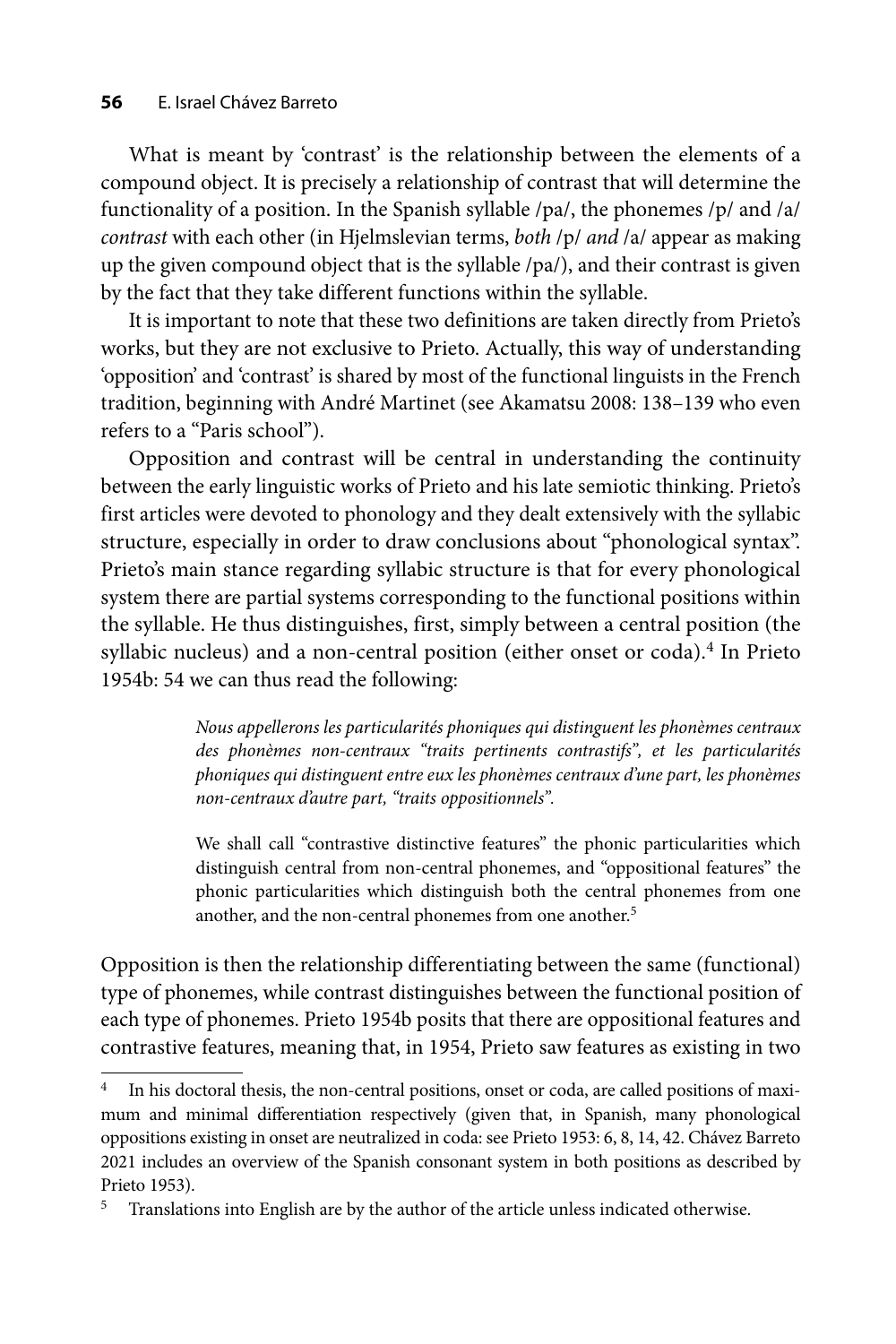What is meant by 'contrast' is the relationship between the elements of a compound object. It is precisely a relationship of contrast that will determine the functionality of a position. In the Spanish syllable /pa/, the phonemes /p/ and /a/ *contrast* with each other (in Hjelmslevian terms, *both* /p/ *and* /a/ appear as making up the given compound object that is the syllable /pa/), and their contrast is given by the fact that they take different functions within the syllable.

It is important to note that these two definitions are taken directly from Prieto's works, but they are not exclusive to Prieto. Actually, this way of understanding 'opposition' and 'contrast' is shared by most of the functional linguists in the French tradition, beginning with André Martinet (see Akamatsu 2008: 138–139 who even refers to a "Paris school").

Opposition and contrast will be central in understanding the continuity between the early linguistic works of Prieto and his late semiotic thinking. Prieto's first articles were devoted to phonology and they dealt extensively with the syllabic structure, especially in order to draw conclusions about "phonological syntax". Prieto's main stance regarding syllabic structure is that for every phonological system there are partial systems corresponding to the functional positions within the syllable. He thus distinguishes, first, simply between a central position (the syllabic nucleus) and a non-central position (either onset or coda).<sup>4</sup> In Prieto 1954b: 54 we can thus read the following:

> *Nous appellerons les particularités phoniques qui distinguent les phonèmes centraux des phonèmes non-centraux "traits pertinents contrastifs", et les particularités phoni ques qui distinguent entre eux les phonèmes centraux d'une part, les phonèmes non-centraux d'autre part, "traits oppositionnels".*

> We shall call "contrastive distinctive features" the phonic particularities which distinguish central from non-central phonemes, and "oppositional features" the phonic particularities which distinguish both the central phonemes from one another, and the non-central phonemes from one another.<sup>5</sup>

Opposition is then the relationship differentiating between the same (functional) type of phonemes, while contrast distinguishes between the functional position of each type of phonemes. Prieto 1954b posits that there are oppositional features and contrastive features, meaning that, in 1954, Prieto saw features as existing in two

<sup>4</sup> In his doctoral thesis, the non-central positions, onset or coda, are called positions of maximum and minimal differentiation respectively (given that, in Spanish, many phonological oppositions existing in onset are neutralized in coda: see Prieto 1953: 6, 8, 14, 42. Chávez Barreto 2021 includes an overview of the Spanish consonant system in both positions as described by Prieto 1953).

<sup>&</sup>lt;sup>5</sup> Translations into English are by the author of the article unless indicated otherwise.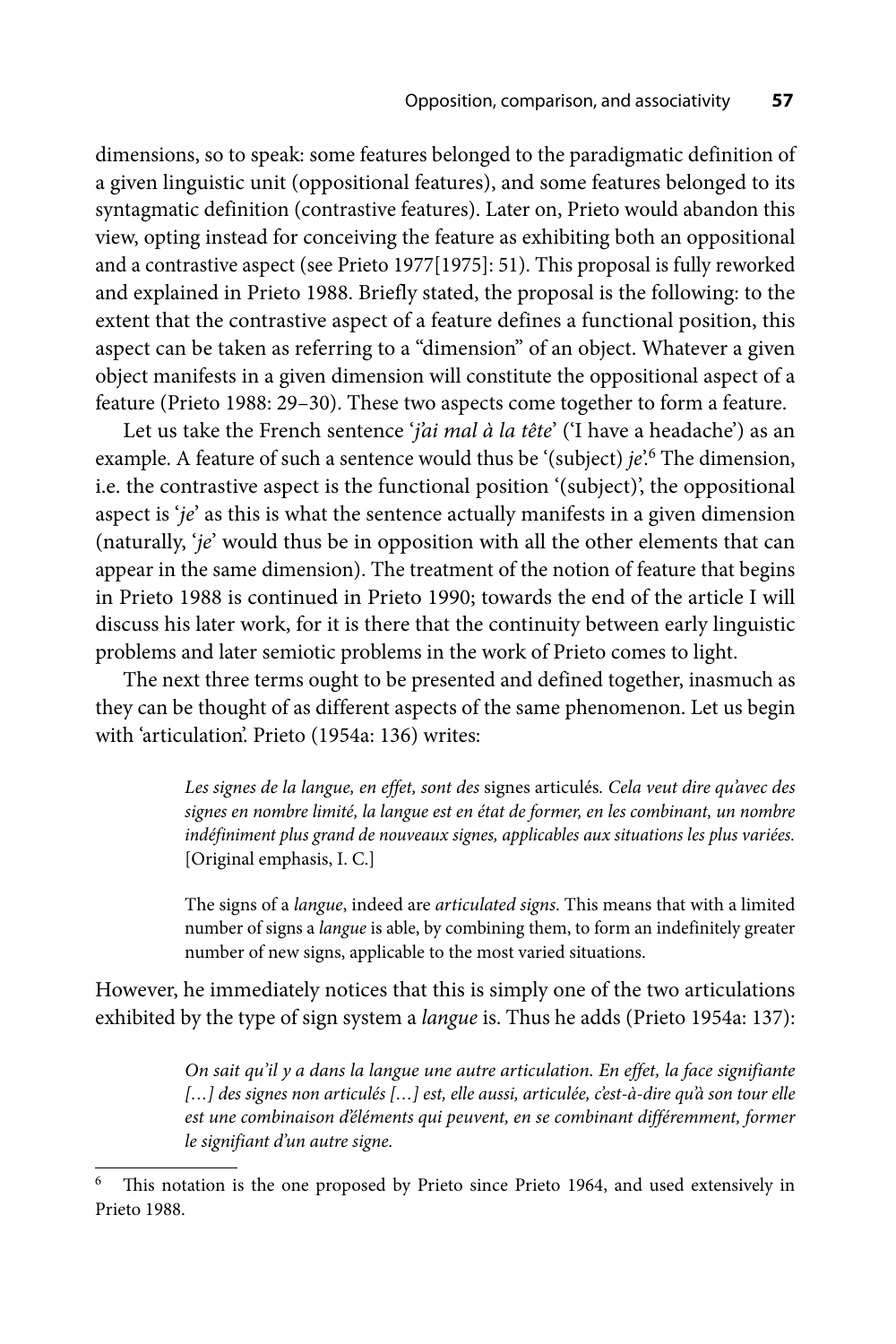dimensions, so to speak: some features belonged to the paradigmatic definition of a given linguistic unit (oppositional features), and some features belonged to its syntagmatic definition (contrastive features). Later on, Prieto would abandon this view, opting instead for conceiving the feature as exhibiting both an oppositional and a contrastive aspect (see Prieto 1977[1975]: 51). This proposal is fully reworked and explained in Prieto 1988. Briefly stated, the proposal is the following: to the extent that the contrastive aspect of a feature defines a functional position, this aspect can be taken as referring to a "dimension" of an object. Whatever a given object manifests in a given dimension will constitute the oppositional aspect of a feature (Prieto 1988: 29–30). These two aspects come together to form a feature.

Let us take the French sentence '*j'ai mal à la tête*' ('I have a headache') as an example. A feature of such a sentence would thus be '(subject) *je*'.<sup>6</sup> The dimension, i.e. the contrastive aspect is the functional position '(subject)', the oppositional aspect is '*je*' as this is what the sentence actually manifests in a given dimension (naturally, '*je*' would thus be in opposition with all the other elements that can appear in the same dimension). The treatment of the notion of feature that begins in Prieto 1988 is continued in Prieto 1990; towards the end of the article I will discuss his later work, for it is there that the continuity between early linguistic problems and later semiotic problems in the work of Prieto comes to light.

The next three terms ought to be presented and defined together, inasmuch as they can be thought of as different aspects of the same phenomenon. Let us begin with 'articulation'. Prieto (1954a: 136) writes:

> *Les signes de la langue, en effet, sont des* signes articulés*. Cela veut dire qu'avec des signes en nombre limité, la langue est en état de former, en les combinant, un nombre indéfiniment plus grand de nouveaux signes, applicables aux situations les plus variées.* [Original emphasis, I. C.]

> The signs of a *langue*, indeed are *articulated signs*. This means that with a limited number of signs a *langue* is able, by combining them, to form an indefinitely greater number of new signs, applicable to the most varied situations.

However, he immediately notices that this is simply one of the two articulations exhibited by the type of sign system a *langue* is. Thus he adds (Prieto 1954a: 137):

> *On sait qu'il y a dans la langue une autre articulation. En effet, la face signifiante*  [...] des signes non articulés [...] est, elle aussi, articulée, c'est-à-dire qu'à son tour elle est une combinaison d'éléments qui peuvent, en se combinant différemment, former *le signifiant d'un autre signe.*

This notation is the one proposed by Prieto since Prieto 1964, and used extensively in Prieto 1988.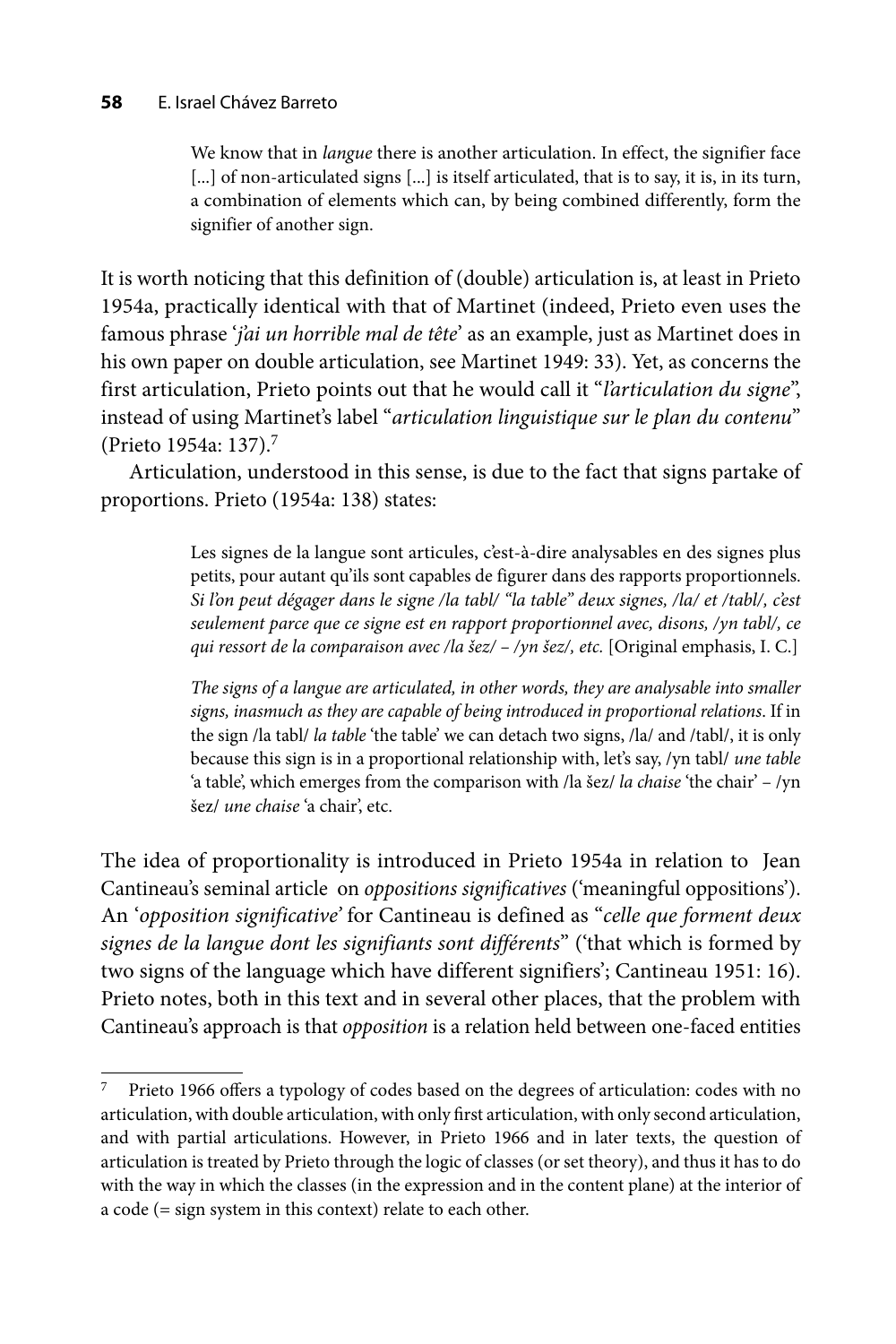#### **58** E. Israel Chávez Barreto

We know that in *langue* there is another articulation. In effect, the signifier face [...] of non-articulated signs [...] is itself articulated, that is to say, it is, in its turn, a combination of elements which can, by being combined differently, form the signifier of another sign.

It is worth noticing that this definition of (double) articulation is, at least in Prieto 1954a, practically identical with that of Martinet (indeed, Prieto even uses the famous phrase '*j'ai un horrible mal de tête*' as an example, just as Martinet does in his own paper on double articulation, see Martinet 1949: 33). Yet, as concerns the first articulation, Prieto points out that he would call it "*l'articulation du signe*", instead of using Martinet's label "*articulation linguistique sur le plan du contenu*" (Prieto 1954a: 137).7

Articulation, understood in this sense, is due to the fact that signs partake of proportions. Prieto (1954a: 138) states:

> Les signes de la langue sont articules, c'est-à-dire analysables en des signes plus petits, pour autant qu'ils sont capables de figurer dans des rapports proportionnels. *Si l'on peut dégager dans le signe /la tabl/ "la table" deux signes, /la/ et /tabl/, c'est seulement parce que ce signe est en rapport proportionnel avec, disons, /yn tabl/, ce qui ressort de la comparaison avec /la šez/ – /yn šez/, etc.* [Original emphasis, I. C.]

> *The signs of a langue are articulated, in other words, they are analysable into smaller signs, inasmuch as they are capable of being introduced in proportional relations*. If in the sign /la tabl/ *la table* 'the table' we can detach two signs, /la/ and /tabl/, it is only because this sign is in a proportional relationship with, let's say, /yn tabl/ *une table*  'a table', which emerges from the comparison with /la šez/ *la chaise* 'the chair' – /yn šez/ *une chaise* 'a chair', etc.

The idea of proportionality is introduced in Prieto 1954a in relation to Jean Cantineau's seminal article on *oppositions significatives* ('meaningful oppositions'). An '*opposition significative'* for Cantineau is defined as "*celle que forment deux signes de la langue dont les signifiants sont différents*" ('that which is formed by two signs of the language which have different signifiers'; Cantineau 1951: 16). Prieto notes, both in this text and in several other places, that the problem with Cantineau's approach is that *opposition* is a relation held between one-faced entities

 $7$  Prieto 1966 offers a typology of codes based on the degrees of articulation: codes with no articulation, with double articulation, with only first articulation, with only second articulation, and with partial articulations. However, in Prieto 1966 and in later texts, the question of articulation is treated by Prieto through the logic of classes (or set theory), and thus it has to do with the way in which the classes (in the expression and in the content plane) at the interior of a code (= sign system in this context) relate to each other.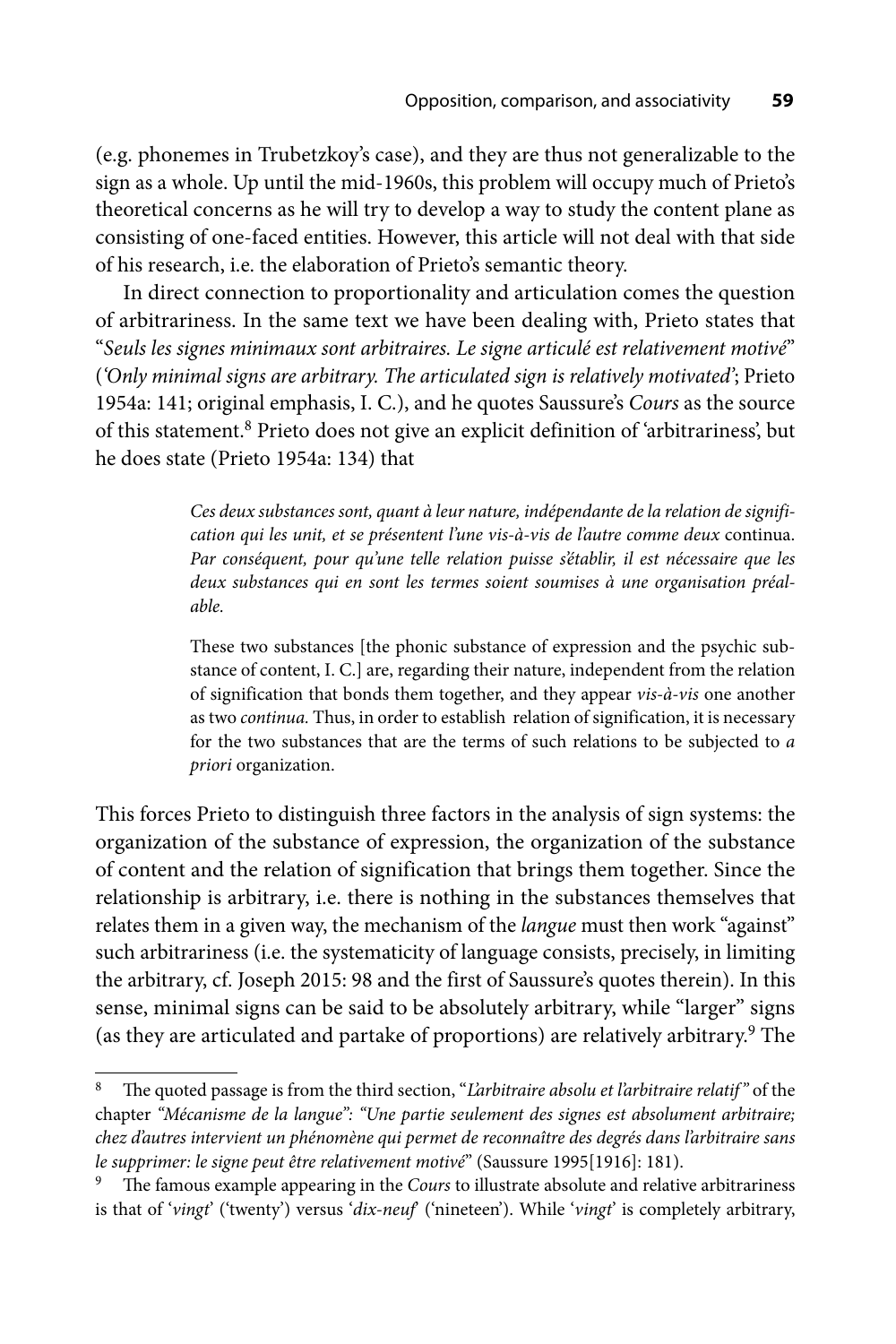(e.g. phonemes in Trubetzkoy's case), and they are thus not generalizable to the sign as a whole. Up until the mid-1960s, this problem will occupy much of Prieto's theoretical concerns as he will try to develop a way to study the content plane as consisting of one-faced entities. However, this article will not deal with that side of his research, i.e. the elaboration of Prieto's semantic theory.

In direct connection to proportionality and articulation comes the question of arbitrariness. In the same text we have been dealing with, Prieto states that "*Seuls les signes minimaux sont arbitraires. Le signe articulé est relativement motivé*" (*'Only minimal signs are arbitrary. The articulated sign is relatively motivated'*; Prieto 1954a: 141; original emphasis, I. C.), and he quotes Saussure's *Cours* as the source of this statement.8 Prieto does not give an explicit definition of 'arbitrariness', but he does state (Prieto 1954a: 134) that

> *Ces deux substances sont, quant à leur nature, indépendante de la relation de signification qui les unit, et se présentent l'une vis-à-vis de l'autre comme deux* continua. *Par conséquent, pour qu'une telle relation puisse s'établir, il est nécessaire que les deux substances qui en sont les termes soient soumises à une organisation préalable.*

> These two substances [the phonic substance of expression and the psychic substance of content, I. C.] are, regarding their nature, independent from the relation of signification that bonds them together, and they appear *vis-à-vis* one another as two *continua.* Thus, in order to establish relation of signification, it is necessary for the two substances that are the terms of such relations to be subjected to *a priori* organization.

This forces Prieto to distinguish three factors in the analysis of sign systems: the organization of the substance of expression, the organization of the substance of content and the relation of signification that brings them together. Since the relationship is arbitrary, i.e. there is nothing in the substances themselves that relates them in a given way, the mechanism of the *langue* must then work "against" such arbitrariness (i.e. the systematicity of language consists, precisely, in limiting the arbitrary, cf. Joseph 2015: 98 and the first of Saussure's quotes therein). In this sense, minimal signs can be said to be absolutely arbitrary, while "larger" signs (as they are articulated and partake of proportions) are relatively arbitrary.<sup>9</sup> The

<sup>&</sup>lt;sup>8</sup> The quoted passage is from the third section, "*L'arbitraire absolu et l'arbitraire relatif*" of the chapter *"Mécanisme de la langue": "Une partie seulement des signes est absolument arbitraire; chez d'autres intervient un phénomène qui permet de reconnaître des degrés dans l'arbitraire sans le supprimer: le signe peut être relativement motivé*" (Saussure 1995[1916]: 181).

The famous example appearing in the *Cours* to illustrate absolute and relative arbitrariness is that of '*vingt*' ('twenty') versus '*dix-neuf*' ('nineteen'). While '*vingt*' is completely arbitrary,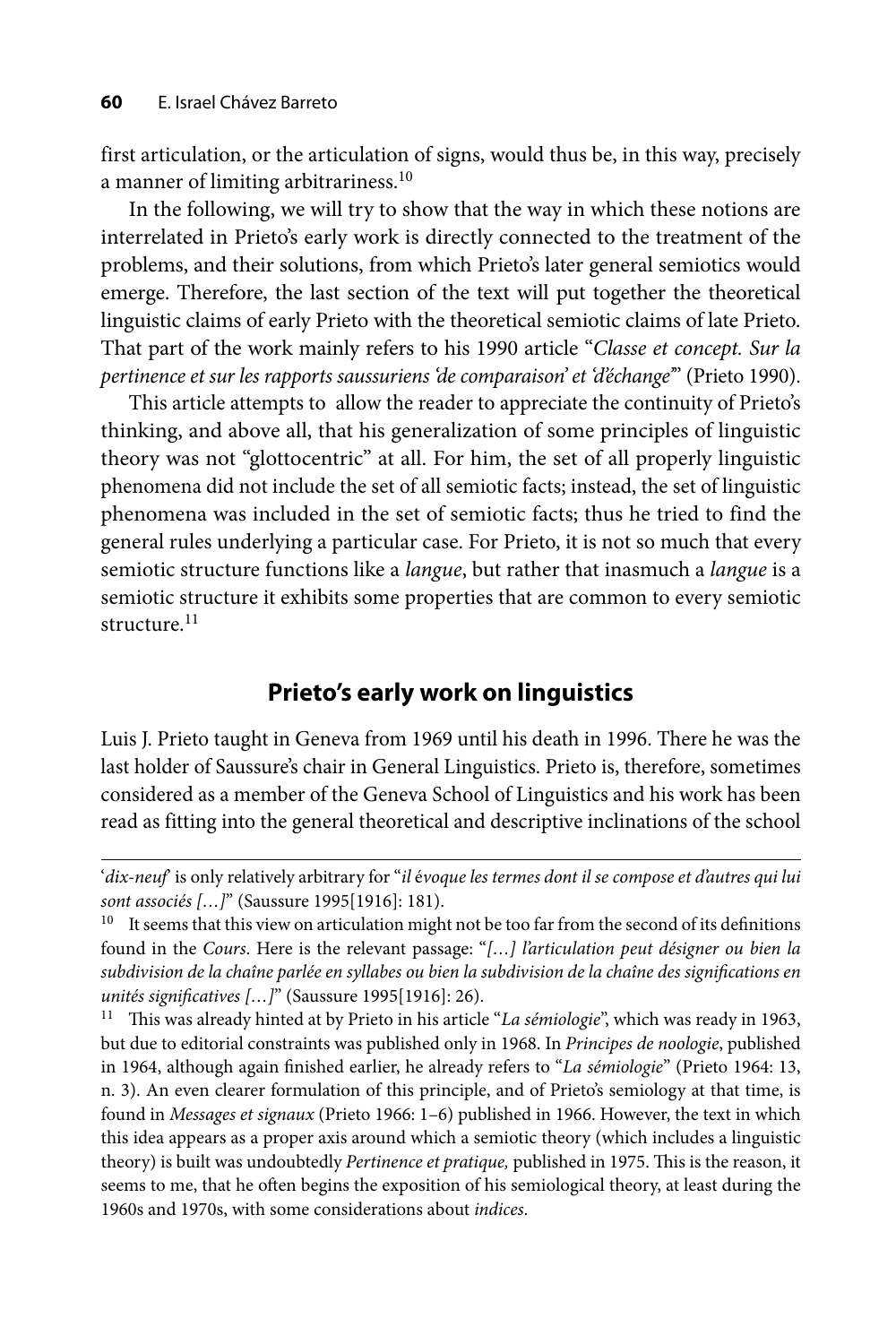first articulation, or the articulation of signs, would thus be, in this way, precisely a manner of limiting arbitrariness.<sup>10</sup>

In the following, we will try to show that the way in which these notions are interrelated in Prieto's early work is directly connected to the treatment of the problems, and their solutions, from which Prieto's later general semiotics would emerge. Therefore, the last section of the text will put together the theoretical linguistic claims of early Prieto with the theoretical semiotic claims of late Prieto. That part of the work mainly refers to his 1990 article "*Classe et concept. Sur la pertinence et sur les rapports saussuriens 'de comparaison' et 'd'échange'*" (Prieto 1990).

This article attempts to allow the reader to appreciate the continuity of Prieto's thinking, and above all, that his generalization of some principles of linguistic theory was not "glottocentric" at all. For him, the set of all properly linguistic phenomena did not include the set of all semiotic facts; instead, the set of linguistic phenomena was included in the set of semiotic facts; thus he tried to find the general rules underlying a particular case. For Prieto, it is not so much that every semiotic structure functions like a *langue*, but rather that inasmuch a *langue* is a semiotic structure it exhibits some properties that are common to every semiotic structure.<sup>11</sup>

## **Prieto's early work on linguistics**

Luis J. Prieto taught in Geneva from 1969 until his death in 1996. There he was the last holder of Saussure's chair in General Linguistics. Prieto is, therefore, sometimes considered as a member of the Geneva School of Linguistics and his work has been read as fitting into the general theoretical and descriptive inclinations of the school

<sup>&#</sup>x27;*dix-neuf*' is only relatively arbitrary for "*il* é*voque les termes dont il se compose et d'autres qui lui sont associés […]*" (Saussure 1995[1916]: 181).

<sup>&</sup>lt;sup>10</sup> It seems that this view on articulation might not be too far from the second of its definitions found in the *Cours*. Here is the relevant passage: "*[…] l'articulation peut désigner ou bien la subdivision de la chaîne parlée en syllabes ou bien la subdivision de la chaîne des signifi cations en unités significatives […]*" (Saussure 1995[1916]: 26).<br><sup>11</sup> This was already hinted at by Prieto in his article "*La sémiologie*", which was ready in 1963,

but due to editorial constraints was published only in 1968. In *Principes de noologie*, published in 1964, although again finished earlier, he already refers to "*La sémiologie*" (Prieto 1964: 13, n. 3). An even clearer formulation of this principle, and of Prieto's semiology at that time, is found in *Messages et signaux* (Prieto 1966: 1–6) published in 1966. However, the text in which this idea appears as a proper axis around which a semiotic theory (which includes a linguistic theory) is built was undoubtedly *Pertinence et pratique*, published in 1975. This is the reason, it seems to me, that he often begins the exposition of his semiological theory, at least during the 1960s and 1970s, with some considerations about *indices*.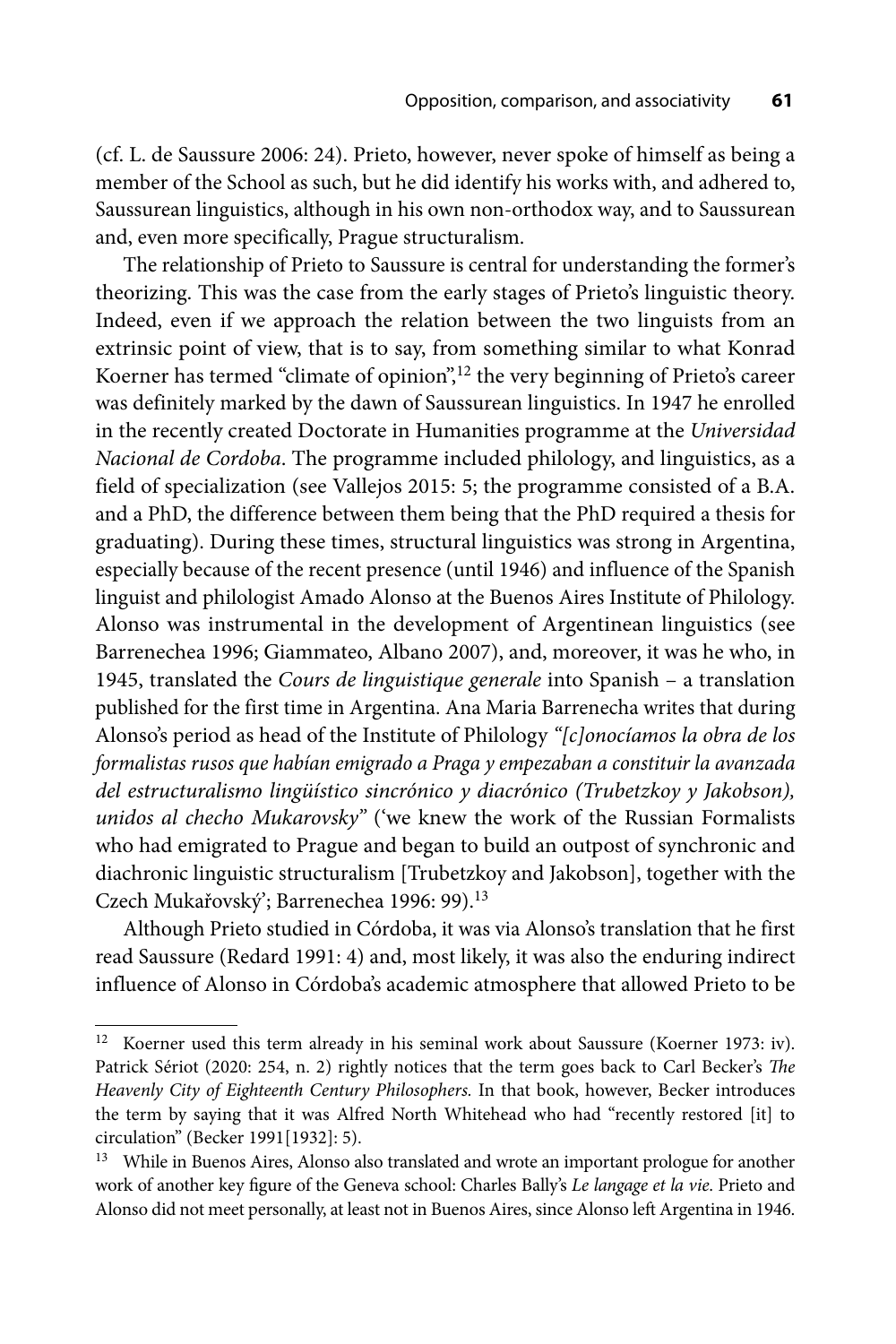(cf. L. de Saussure 2006: 24). Prieto, however, never spoke of himself as being a member of the School as such, but he did identify his works with, and adhered to, Saussurean linguistics, although in his own non-orthodox way, and to Saussurean and, even more specifically, Prague structuralism.

The relationship of Prieto to Saussure is central for understanding the former's theorizing. This was the case from the early stages of Prieto's linguistic theory. Indeed, even if we approach the relation between the two linguists from an extrinsic point of view, that is to say, from something similar to what Konrad Koerner has termed "climate of opinion",<sup>12</sup> the very beginning of Prieto's career was definitely marked by the dawn of Saussurean linguistics. In 1947 he enrolled in the recently created Doctorate in Humanities programme at the *Universidad Nacional de Cordoba*. The programme included philology, and linguistics, as a field of specialization (see Vallejos 2015: 5; the programme consisted of a B.A. and a PhD, the difference between them being that the PhD required a thesis for graduating). During these times, structural linguistics was strong in Argentina, especially because of the recent presence (until 1946) and influence of the Spanish linguist and philologist Amado Alonso at the Buenos Aires Institute of Philology. Alonso was instrumental in the development of Argentinean linguistics (see Barrenechea 1996; Giammateo, Albano 2007), and, moreover, it was he who, in 1945, translated the *Cours de linguistique generale* into Spanish – a translation published for the first time in Argentina. Ana Maria Barrenecha writes that during Alonso's period as head of the Institute of Philology *"[c]onocíamos la obra de los formalistas rusos que habían emigrado a Praga y empezaban a constituir la avanzada del estructuralismo lingüístico sincrónico y diacrónico (Trubetzkoy y Jakobson), unidos al checho Mukarovsky"* ('we knew the work of the Russian Formalists who had emigrated to Prague and began to build an outpost of synchronic and diachronic linguistic structuralism [Trubetzkoy and Jakobson], together with the Czech Mukařovský'; Barrenechea 1996: 99).<sup>13</sup>

Although Prieto studied in Córdoba, it was via Alonso's translation that he first read Saussure (Redard 1991: 4) and, most likely, it was also the enduring indirect influence of Alonso in Córdoba's academic atmosphere that allowed Prieto to be

<sup>&</sup>lt;sup>12</sup> Koerner used this term already in his seminal work about Saussure (Koerner 1973: iv). Patrick Sériot (2020: 254, n. 2) rightly notices that the term goes back to Carl Becker's *The Heavenly City of Eighteenth Century Philosophers.* In that book, however, Becker introduces the term by saying that it was Alfred North Whitehead who had "recently restored [it] to circulation" (Becker 1991[1932]: 5).

<sup>&</sup>lt;sup>13</sup> While in Buenos Aires, Alonso also translated and wrote an important prologue for another work of another key figure of the Geneva school: Charles Bally's *Le langage et la vie*. Prieto and Alonso did not meet personally, at least not in Buenos Aires, since Alonso left Argentina in 1946.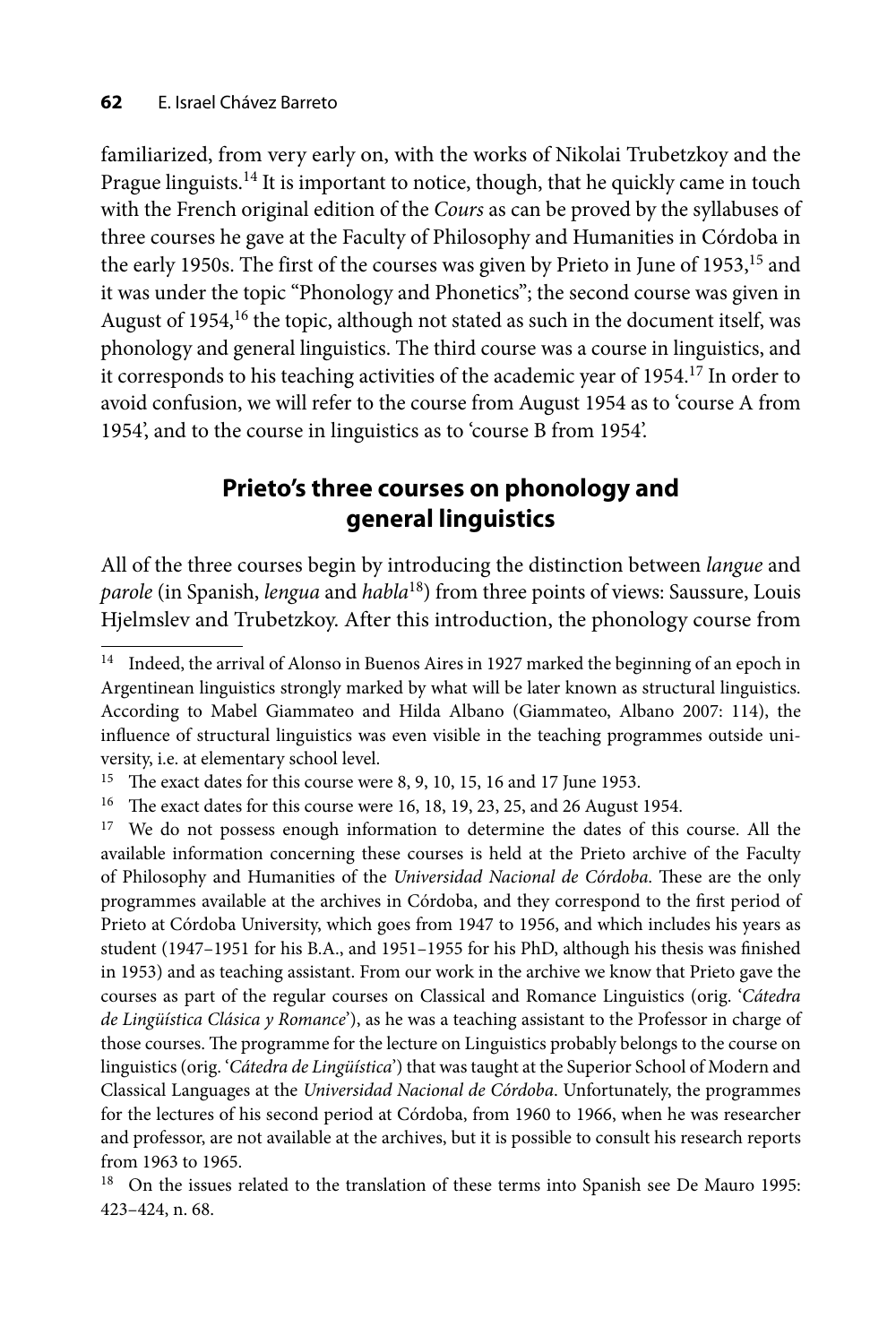familiarized, from very early on, with the works of Nikolai Trubetzkoy and the Prague linguists.<sup>14</sup> It is important to notice, though, that he quickly came in touch with the French original edition of the *Cours* as can be proved by the syllabuses of three courses he gave at the Faculty of Philosophy and Humanities in Córdoba in the early 1950s. The first of the courses was given by Prieto in June of 1953,<sup>15</sup> and it was under the topic "Phonology and Phonetics"; the second course was given in August of 1954,<sup>16</sup> the topic, although not stated as such in the document itself, was phonology and general linguistics. The third course was a course in linguistics, and it corresponds to his teaching activities of the academic year of 1954.17 In order to avoid confusion, we will refer to the course from August 1954 as to 'course A from 1954', and to the course in linguistics as to 'course B from 1954'.

# **Prieto's three courses on phonology and general linguistics**

All of the three courses begin by introducing the distinction between *langue* and *parole* (in Spanish, *lengua* and *habla*18) from three points of views: Saussure, Louis Hjelmslev and Trubetzkoy. After this introduction, the phonology course from

<sup>&</sup>lt;sup>14</sup> Indeed, the arrival of Alonso in Buenos Aires in 1927 marked the beginning of an epoch in Argentinean linguistics strongly marked by what will be later known as structural linguistics. According to Mabel Giammateo and Hilda Albano (Giammateo, Albano 2007: 114), the influence of structural linguistics was even visible in the teaching programmes outside university, i.e. at elementary school level.

<sup>&</sup>lt;sup>15</sup> The exact dates for this course were 8, 9, 10, 15, 16 and 17 June 1953.

<sup>&</sup>lt;sup>16</sup> The exact dates for this course were 16, 18, 19, 23, 25, and 26 August 1954.<br><sup>17</sup> We do not possess enough information to determine the dates of this course. All the available information concerning these courses is held at the Prieto archive of the Faculty of Philosophy and Humanities of the *Universidad Nacional de Córdoba*. These are the only programmes available at the archives in Córdoba, and they correspond to the first period of Prieto at Córdoba University, which goes from 1947 to 1956, and which includes his years as student (1947–1951 for his B.A., and 1951–1955 for his PhD, although his thesis was finished in 1953) and as teaching assistant. From our work in the archive we know that Prieto gave the courses as part of the regular courses on Classical and Romance Linguistics (orig. '*Cátedra de Lingüística Clásica y Romance*'), as he was a teaching assistant to the Professor in charge of those courses. The programme for the lecture on Linguistics probably belongs to the course on linguistics (orig. '*Cátedra de Lingüística*') that was taught at the Superior School of Modern and Classical Languages at the *Universidad Nacional de Córdoba*. Unfortunately, the programmes for the lectures of his second period at Córdoba, from 1960 to 1966, when he was researcher and professor, are not available at the archives, but it is possible to consult his research reports from 1963 to 1965.

<sup>&</sup>lt;sup>18</sup> On the issues related to the translation of these terms into Spanish see De Mauro 1995: 423–424, n. 68.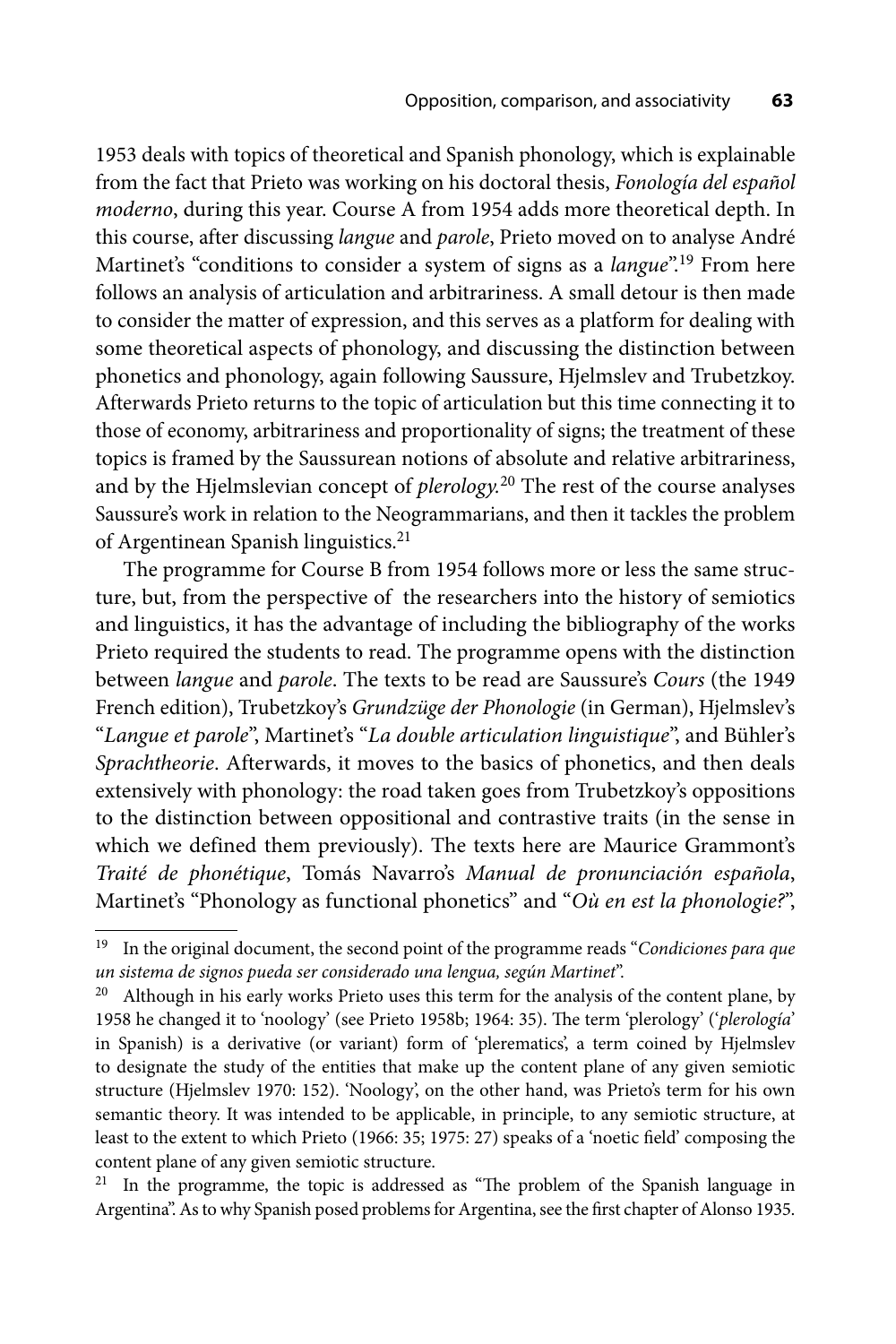1953 deals with topics of theoretical and Spanish phonology, which is explainable from the fact that Prieto was working on his doctoral thesis, *Fonología del español moderno*, during this year. Course A from 1954 adds more theoretical depth. In this course, after discussing *langue* and *parole*, Prieto moved on to analyse André Martinet's "conditions to consider a system of signs as a *langue*".19 From here follows an analysis of articulation and arbitrariness. A small detour is then made to consider the matter of expression, and this serves as a platform for dealing with some theoretical aspects of phonology, and discussing the distinction between phonetics and phonology, again following Saussure, Hjelmslev and Trubetzkoy. Afterwards Prieto returns to the topic of articulation but this time connecting it to those of economy, arbitrariness and proportionality of signs; the treatment of these topics is framed by the Saussurean notions of absolute and relative arbitrariness, and by the Hjelmslevian concept of *plerology.*20 The rest of the course analyses Saussure's work in relation to the Neogrammarians, and then it tackles the problem of Argentinean Spanish linguistics.<sup>21</sup>

The programme for Course B from 1954 follows more or less the same structure, but, from the perspective of the researchers into the history of semiotics and linguistics, it has the advantage of including the bibliography of the works Prieto required the students to read. The programme opens with the distinction between *langue* and *parole*. The texts to be read are Saussure's *Cours* (the 1949 French edition), Trubetzkoy's *Grundzüge der Phonologie* (in German), Hjelmslev's "*Langue et parole*", Martinet's "*La double articulation linguistique*", and Bühler's *Sprachtheorie*. Afterwards, it moves to the basics of phonetics, and then deals extensively with phonology: the road taken goes from Trubetzkoy's oppositions to the distinction between oppositional and contrastive traits (in the sense in which we defined them previously). The texts here are Maurice Grammont's *Traité de phonétique*, Tomás Navarro's *Manual de pronunciación española*, Martinet's "Phonology as functional phonetics" and "*Où en est la phonologie?*",

<sup>19</sup> In the original document, the second point of the programme reads "*Condiciones para que un sistema de signos pueda ser considerado una lengua, según Martinet*".

 $20$  Although in his early works Prieto uses this term for the analysis of the content plane, by 1958 he changed it to 'noology' (see Prieto 1958b; 1964: 35). The term 'plerology' ('*plerologia*' in Spanish) is a derivative (or variant) form of 'plerematics', a term coined by Hjelmslev to designate the study of the entities that make up the content plane of any given semiotic structure (Hjelmslev 1970: 152). 'Noology', on the other hand, was Prieto's term for his own semantic theory. It was intended to be applicable, in principle, to any semiotic structure, at least to the extent to which Prieto (1966: 35; 1975: 27) speaks of a 'noetic field' composing the content plane of any given semiotic structure.

 $21$  In the programme, the topic is addressed as "The problem of the Spanish language in Argentina". As to why Spanish posed problems for Argentina, see the first chapter of Alonso 1935.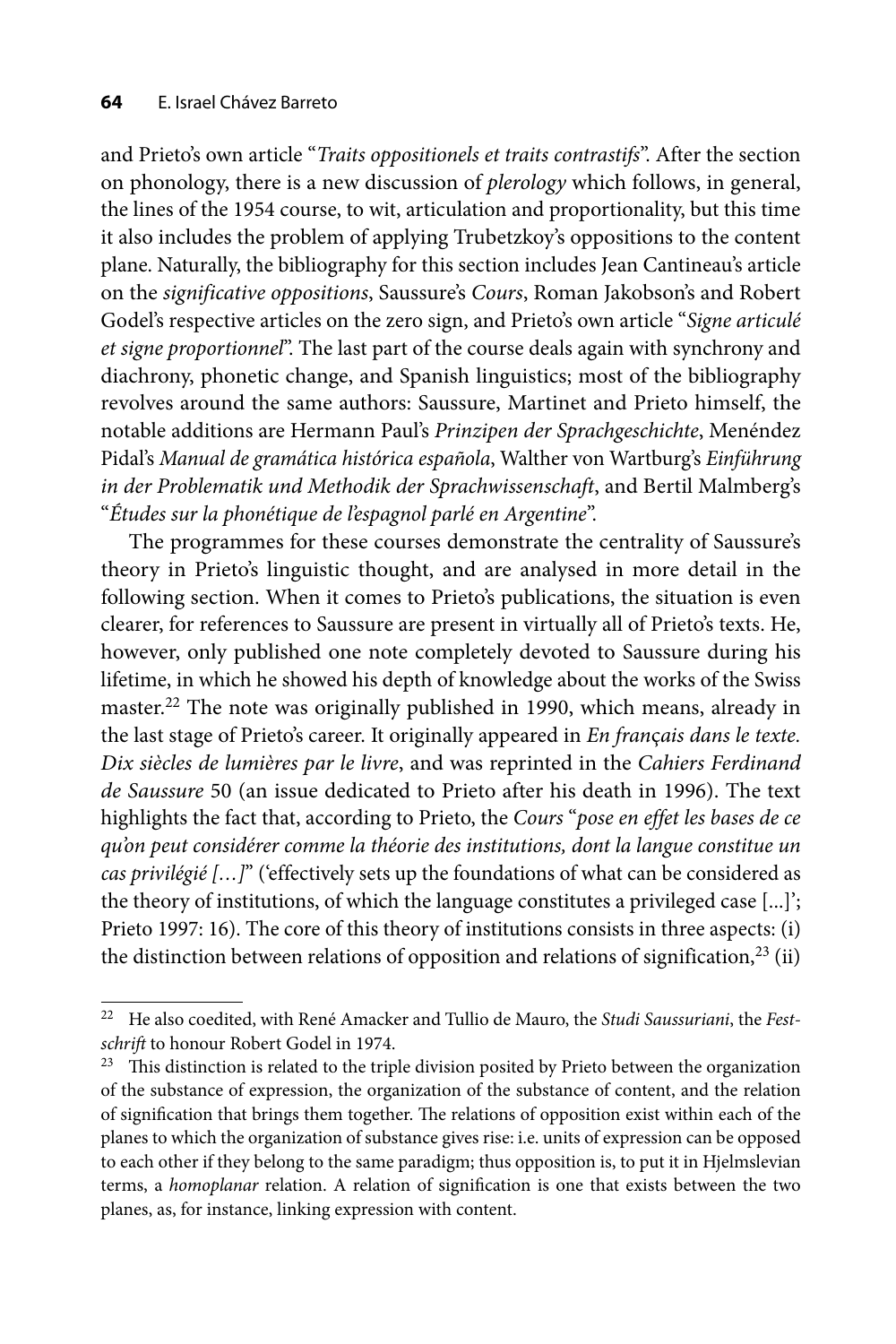and Prieto's own article "*Traits oppositionels et traits contrastifs*". After the section on phonology, there is a new discussion of *plerology* which follows, in general, the lines of the 1954 course, to wit, articulation and proportionality, but this time it also includes the problem of applying Trubetzkoy's oppositions to the content plane. Naturally, the bibliography for this section includes Jean Cantineau's article on the *significative oppositions*, Saussure's *Cours*, Roman Jakobson's and Robert Godel's respective articles on the zero sign, and Prieto's own article "*Signe articulé et signe proportionnel*". The last part of the course deals again with synchrony and diachrony, phonetic change, and Spanish linguistics; most of the bibliography revolves around the same authors: Saussure, Martinet and Prieto himself, the notable additions are Hermann Paul's *Prinzipen der Sprachgeschichte*, Menéndez Pidal's *Manual de gramática histórica española*, Walther von Wartburg's *Einführung in der Problematik und Methodik der Sprachwissenschaft*, and Bertil Malmberg's "*Études sur la phonétique de l'espagnol parlé en Argentine*".

The programmes for these courses demonstrate the centrality of Saussure's theory in Prieto's linguistic thought, and are analysed in more detail in the following section. When it comes to Prieto's publications, the situation is even clearer, for references to Saussure are present in virtually all of Prieto's texts. He, however, only published one note completely devoted to Saussure during his lifetime, in which he showed his depth of knowledge about the works of the Swiss master.<sup>22</sup> The note was originally published in 1990, which means, already in the last stage of Prieto's career. It originally appeared in *En fran*ç*ais dans le texte. Dix siècles de lumières par le livre*, and was reprinted in the *Cahiers Ferdinand de Saussure* 50 (an issue dedicated to Prieto after his death in 1996). The text highlights the fact that, according to Prieto, the *Cours* "*pose en effet les bases de ce qu'on peut considérer comme la théorie des institutions, dont la langue constitue un cas privilégié […]*" ('effectively sets up the foundations of what can be considered as the theory of institutions, of which the language constitutes a privileged case [...]'; Prieto 1997: 16). The core of this theory of institutions consists in three aspects: (i) the distinction between relations of opposition and relations of signification,  $^{23}$  (ii)

<sup>22</sup> He also coedited, with René Amacker and Tullio de Mauro, the *Studi Saussuriani*, the *Festschrift* to honour Robert Godel in 1974.

<sup>&</sup>lt;sup>23</sup> This distinction is related to the triple division posited by Prieto between the organization of the substance of expression, the organization of the substance of content, and the relation of signification that brings them together. The relations of opposition exist within each of the planes to which the organization of substance gives rise: i.e. units of expression can be opposed to each other if they belong to the same paradigm; thus opposition is, to put it in Hjelmslevian terms, a *homoplanar* relation. A relation of signification is one that exists between the two planes, as, for instance, linking expression with content.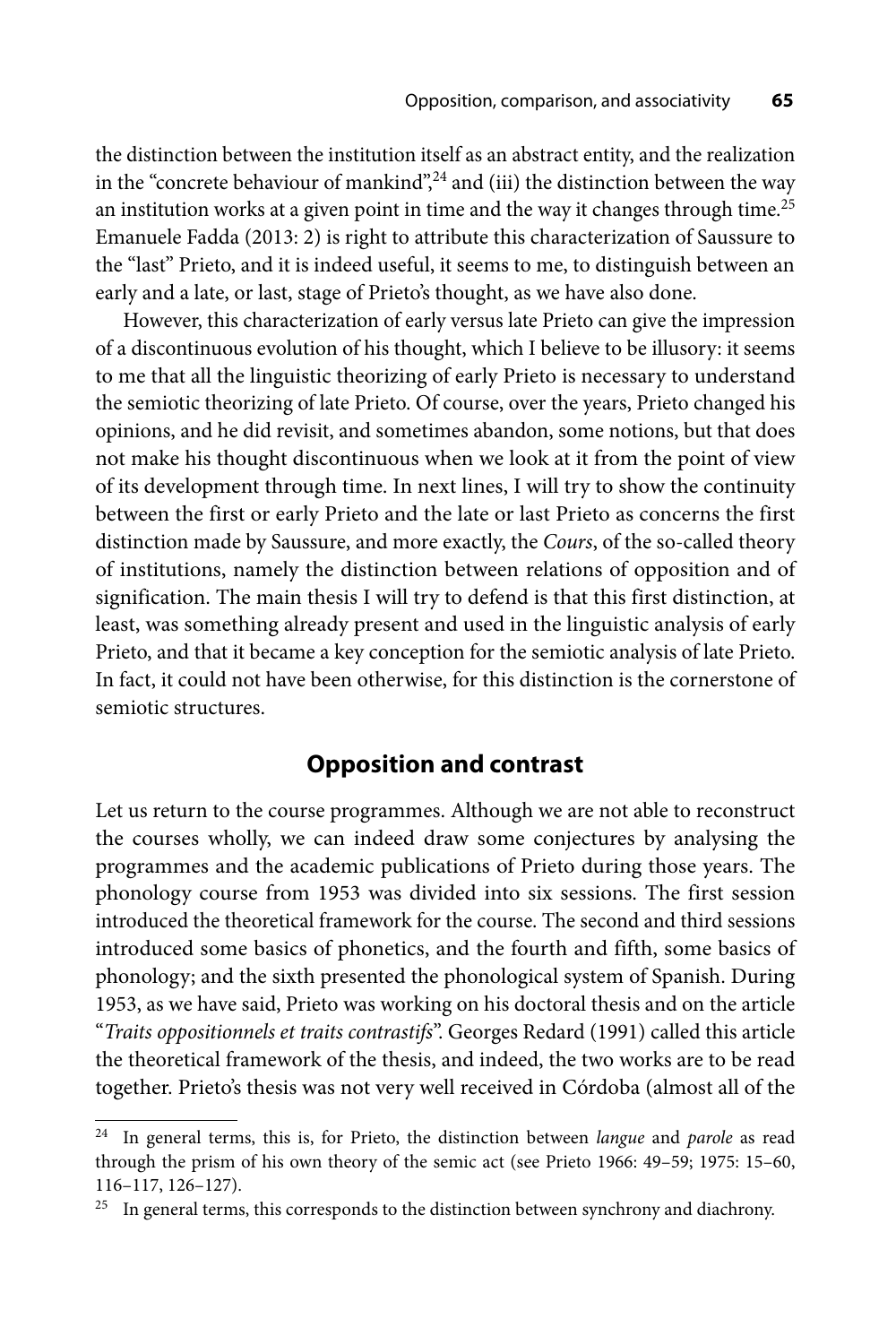the distinction between the institution itself as an abstract entity, and the realization in the "concrete behaviour of mankind", $24$  and (iii) the distinction between the way an institution works at a given point in time and the way it changes through time.<sup>25</sup> Emanuele Fadda (2013: 2) is right to attribute this characterization of Saussure to the "last" Prieto, and it is indeed useful, it seems to me, to distinguish between an early and a late, or last, stage of Prieto's thought, as we have also done.

However, this characterization of early versus late Prieto can give the impression of a discontinuous evolution of his thought, which I believe to be illusory: it seems to me that all the linguistic theorizing of early Prieto is necessary to understand the semiotic theorizing of late Prieto. Of course, over the years, Prieto changed his opinions, and he did revisit, and sometimes abandon, some notions, but that does not make his thought discontinuous when we look at it from the point of view of its development through time. In next lines, I will try to show the continuity between the first or early Prieto and the late or last Prieto as concerns the first distinction made by Saussure, and more exactly, the *Cours*, of the so-called theory of institutions, namely the distinction between relations of opposition and of signification. The main thesis I will try to defend is that this first distinction, at least, was something already present and used in the linguistic analysis of early Prieto, and that it became a key conception for the semiotic analysis of late Prieto. In fact, it could not have been otherwise, for this distinction is the cornerstone of semiotic structures.

## **Opposition and contrast**

Let us return to the course programmes. Although we are not able to reconstruct the courses wholly, we can indeed draw some conjectures by analysing the programmes and the academic publications of Prieto during those years. The phonology course from 1953 was divided into six sessions. The first session introduced the theoretical framework for the course. The second and third sessions introduced some basics of phonetics, and the fourth and fifth, some basics of phonology; and the sixth presented the phonological system of Spanish. During 1953, as we have said, Prieto was working on his doctoral thesis and on the article "*Traits oppositionnels et traits contrastifs*". Georges Redard (1991) called this article the theoretical framework of the thesis, and indeed, the two works are to be read together. Prieto's thesis was not very well received in Córdoba (almost all of the

<sup>24</sup> In general terms, this is, for Prieto, the distinction between *langue* and *parole* as read through the prism of his own theory of the semic act (see Prieto 1966: 49–59; 1975: 15–60, 116–117, 126–127).

 $25$  In general terms, this corresponds to the distinction between synchrony and diachrony.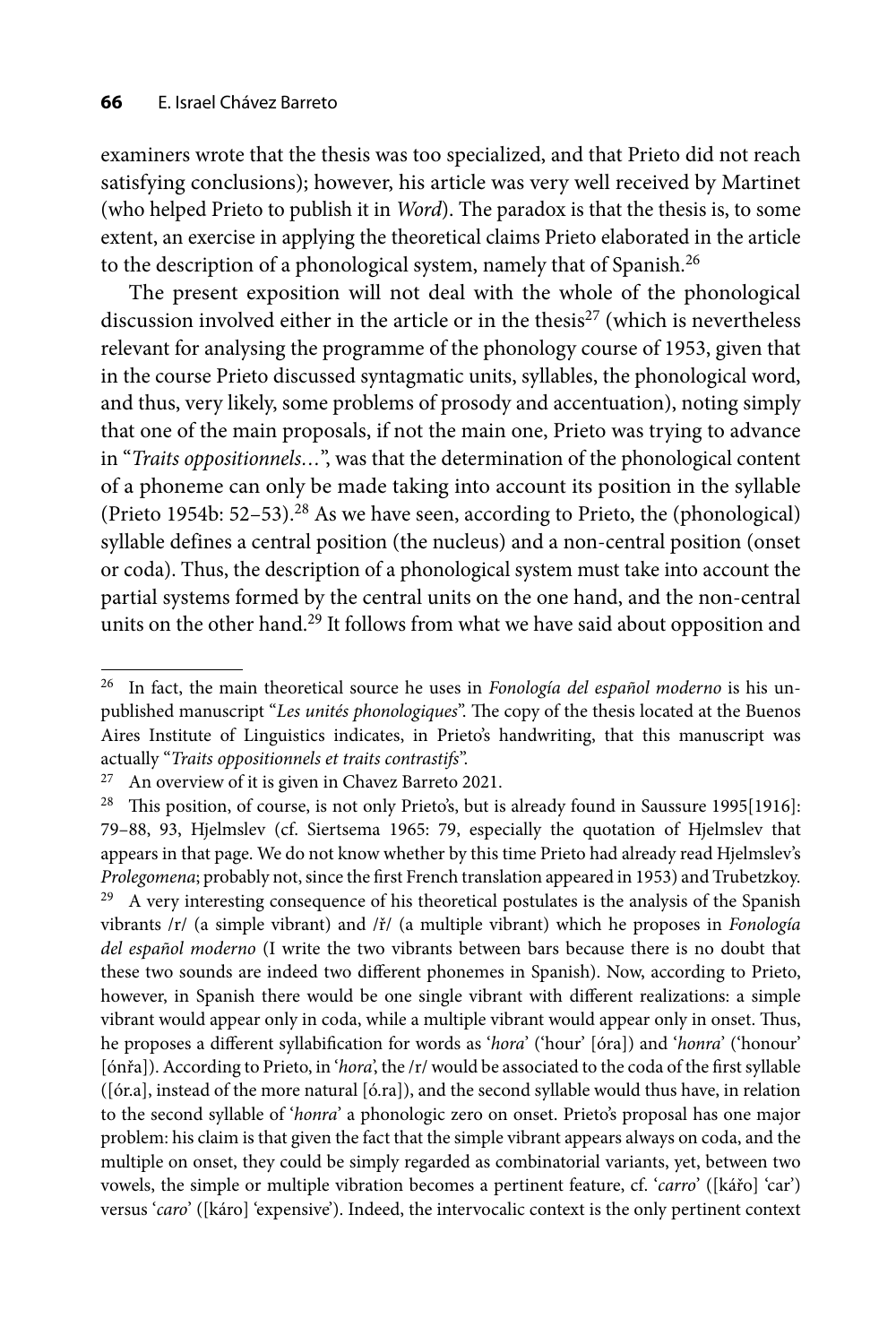examiners wrote that the thesis was too specialized, and that Prieto did not reach satisfying conclusions); however, his article was very well received by Martinet (who helped Prieto to publish it in *Word*). The paradox is that the thesis is, to some extent, an exercise in applying the theoretical claims Prieto elaborated in the article to the description of a phonological system, namely that of Spanish.<sup>26</sup>

The present exposition will not deal with the whole of the phonological discussion involved either in the article or in the thesis $^{27}$  (which is nevertheless relevant for analysing the programme of the phonology course of 1953, given that in the course Prieto discussed syntagmatic units, syllables, the phonological word, and thus, very likely, some problems of prosody and accentuation), noting simply that one of the main proposals, if not the main one, Prieto was trying to advance in "*Traits oppositionnels…*", was that the determination of the phonological content of a phoneme can only be made taking into account its position in the syllable (Prieto 1954b:  $52-53$ ).<sup>28</sup> As we have seen, according to Prieto, the (phonological) syllable defines a central position (the nucleus) and a non-central position (onset or coda). Thus, the description of a phonological system must take into account the partial systems formed by the central units on the one hand, and the non-central units on the other hand.<sup>29</sup> It follows from what we have said about opposition and

<sup>26</sup> In fact, the main theoretical source he uses in *Fonología del español moderno* is his unpublished manuscript "Les unités phonologiques". The copy of the thesis located at the Buenos Aires Institute of Linguistics indicates, in Prieto's handwriting, that this manuscript was actually "*Traits oppositionnels et traits contrastifs*".

 $27$  An overview of it is given in Chavez Barreto 2021.

<sup>&</sup>lt;sup>28</sup> This position, of course, is not only Prieto's, but is already found in Saussure 1995[1916]: 79–88, 93, Hjelmslev (cf. Siertsema 1965: 79, especially the quotation of Hjelmslev that appears in that page. We do not know whether by this time Prieto had already read Hjelmslev's *Prolegomena*; probably not, since the first French translation appeared in 1953) and Trubetzkoy.<br><sup>29</sup> A very interesting consequence of his theoretical postulates is the analysis of the Spanish vibrants /r/ (a simple vibrant) and /ř/ (a multiple vibrant) which he proposes in *Fonología del español moderno* (I write the two vibrants between bars because there is no doubt that these two sounds are indeed two different phonemes in Spanish). Now, according to Prieto, however, in Spanish there would be one single vibrant with different realizations: a simple vibrant would appear only in coda, while a multiple vibrant would appear only in onset. Thus, he proposes a different syllabification for words as '*hora*' ('hour' [óra]) and '*honra*' ('honour' [ónřa]). According to Prieto, in '*hora*', the /r/ would be associated to the coda of the first syllable ([ór.a], instead of the more natural [ó.ra]), and the second syllable would thus have, in relation to the second syllable of '*honra*' a phonologic zero on onset. Prieto's proposal has one major problem: his claim is that given the fact that the simple vibrant appears always on coda, and the multiple on onset, they could be simply regarded as combinatorial variants, yet, between two vowels, the simple or multiple vibration becomes a pertinent feature, cf. '*carro*' ([kářo] 'car') versus '*caro*' ([káro] 'expensive'). Indeed, the intervocalic context is the only pertinent context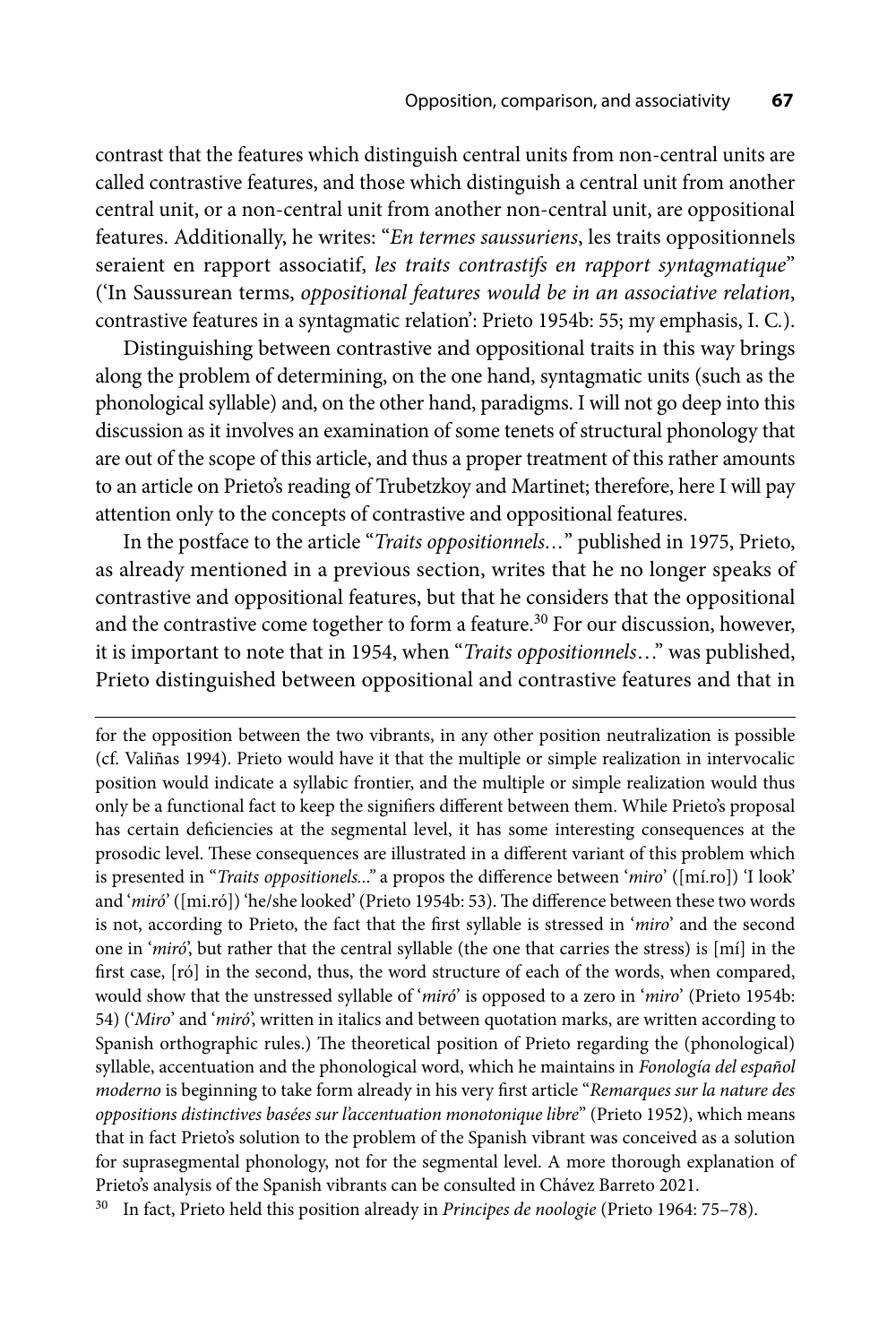contrast that the features which distinguish central units from non-central units are called contrastive features, and those which distinguish a central unit from another central unit, or a non-central unit from another non-central unit, are oppositional features. Additionally, he writes: "*En termes saussuriens*, les traits oppositionnels seraient en rapport associatif, *les traits contrastifs en rapport syntagmatique*" ('In Saussurean terms, *oppositional features would be in an associative relation*, contrastive features in a syntagmatic relation': Prieto 1954b: 55; my emphasis, I. C*.*).

Distinguishing between contrastive and oppositional traits in this way brings along the problem of determining, on the one hand, syntagmatic units (such as the phonological syllable) and, on the other hand, paradigms. I will not go deep into this discussion as it involves an examination of some tenets of structural phonology that are out of the scope of this article, and thus a proper treatment of this rather amounts to an article on Prieto's reading of Trubetzkoy and Martinet; therefore, here I will pay attention only to the concepts of contrastive and oppositional features.

In the postface to the article "*Traits oppositionnels…*" published in 1975, Prieto, as already mentioned in a previous section, writes that he no longer speaks of contrastive and oppositional features, but that he considers that the oppositional and the contrastive come together to form a feature.<sup>30</sup> For our discussion, however, it is important to note that in 1954, when "*Traits oppositionnels*…" was published, Prieto distinguished between oppositional and contrastive features and that in

for the opposition between the two vibrants, in any other position neutralization is possible (cf. Valiñas 1994). Prieto would have it that the multiple or simple realization in intervocalic position would indicate a syllabic frontier, and the multiple or simple realization would thus only be a functional fact to keep the signifiers different between them. While Prieto's proposal has certain deficiencies at the segmental level, it has some interesting consequences at the prosodic level. These consequences are illustrated in a different variant of this problem which is presented in "*Traits oppositionels...*" a propos the difference between '*miro*' ([mí.ro]) 'I look' and '*miró*' ([mi.ró]) 'he/she looked' (Prieto 1954b: 53). The difference between these two words is not, according to Prieto, the fact that the first syllable is stressed in '*miro*' and the second one in '*miró*', but rather that the central syllable (the one that carries the stress) is [mí] in the first case, [ró] in the second, thus, the word structure of each of the words, when compared, would show that the unstressed syllable of '*miró*' is opposed to a zero in '*miro*' (Prieto 1954b: 54) ('*Miro*' and '*miró*', written in italics and between quotation marks, are written according to Spanish orthographic rules.) The theoretical position of Prieto regarding the (phonological) syllable, accentuation and the phonological word, which he maintains in *Fonología del español moderno* is beginning to take form already in his very fi rst article "*Remarques sur la nature des oppositions distinctives basées sur l'accentuation monotonique libre*" (Prieto 1952), which means that in fact Prieto's solution to the problem of the Spanish vibrant was conceived as a solution for suprasegmental phonology, not for the segmental level. A more thorough explanation of Prieto's analysis of the Spanish vibrants can be consulted in Chávez Barreto 2021.

30 In fact, Prieto held this position already in *Principes de noologie* (Prieto 1964: 75–78).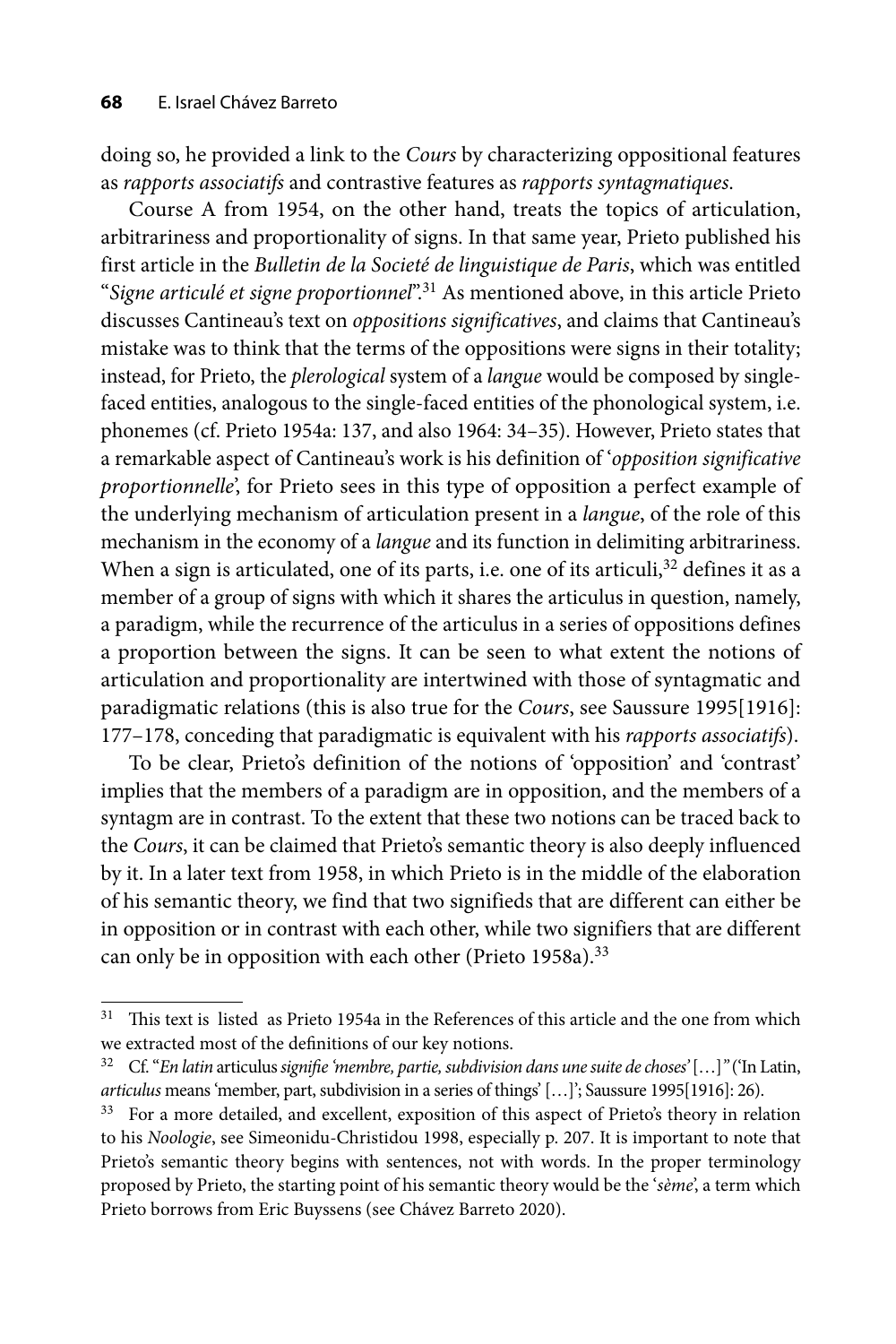doing so, he provided a link to the *Cours* by characterizing oppositional features as *rapports associatifs* and contrastive features as *rapports syntagmatiques*.

Course A from 1954, on the other hand, treats the topics of articulation, arbitrariness and proportionality of signs. In that same year, Prieto published his first article in the *Bulletin de la Societé de linguistique de Paris*, which was entitled "*Signe articulé et signe proportionnel*".31 As mentioned above, in this article Prieto discusses Cantineau's text on *oppositions significatives*, and claims that Cantineau's mistake was to think that the terms of the oppositions were signs in their totality; instead, for Prieto, the *plerological* system of a *langue* would be composed by singlefaced entities, analogous to the single-faced entities of the phonological system, i.e. phonemes (cf. Prieto 1954a: 137, and also 1964: 34–35). However, Prieto states that a remarkable aspect of Cantineau's work is his definition of '*opposition significative proportionnelle*', for Prieto sees in this type of opposition a perfect example of the underlying mechanism of articulation present in a *langue*, of the role of this mechanism in the economy of a *langue* and its function in delimiting arbitrariness. When a sign is articulated, one of its parts, i.e. one of its articuli,  $32$  defines it as a member of a group of signs with which it shares the articulus in question, namely, a paradigm, while the recurrence of the articulus in a series of oppositions defines a proportion between the signs. It can be seen to what extent the notions of articulation and proportionality are intertwined with those of syntagmatic and paradigmatic relations (this is also true for the *Cours*, see Saussure 1995[1916]: 177–178, conceding that paradigmatic is equivalent with his *rapports associatifs*).

To be clear, Prieto's definition of the notions of 'opposition' and 'contrast' implies that the members of a paradigm are in opposition, and the members of a syntagm are in contrast. To the extent that these two notions can be traced back to the *Cours*, it can be claimed that Prieto's semantic theory is also deeply influenced by it. In a later text from 1958, in which Prieto is in the middle of the elaboration of his semantic theory, we find that two signifieds that are different can either be in opposition or in contrast with each other, while two signifiers that are different can only be in opposition with each other (Prieto 1958a).<sup>33</sup>

 $31$  This text is listed as Prieto 1954a in the References of this article and the one from which we extracted most of the definitions of our key notions.

<sup>&</sup>lt;sup>32</sup> Cf. "*En latin* articulus *signifie 'membre, partie, subdivision dans une suite de choses'* [...]" ('In Latin, *articulus* means 'member, part, subdivision in a series of things' […]'; Saussure 1995[1916]: 26).

<sup>&</sup>lt;sup>33</sup> For a more detailed, and excellent, exposition of this aspect of Prieto's theory in relation to his *Noologie*, see Simeonidu-Christidou 1998, especially p. 207. It is important to note that Prieto's semantic theory begins with sentences, not with words. In the proper terminology proposed by Prieto, the starting point of his semantic theory would be the '*sème*', a term which Prieto borrows from Eric Buyssens (see Chávez Barreto 2020).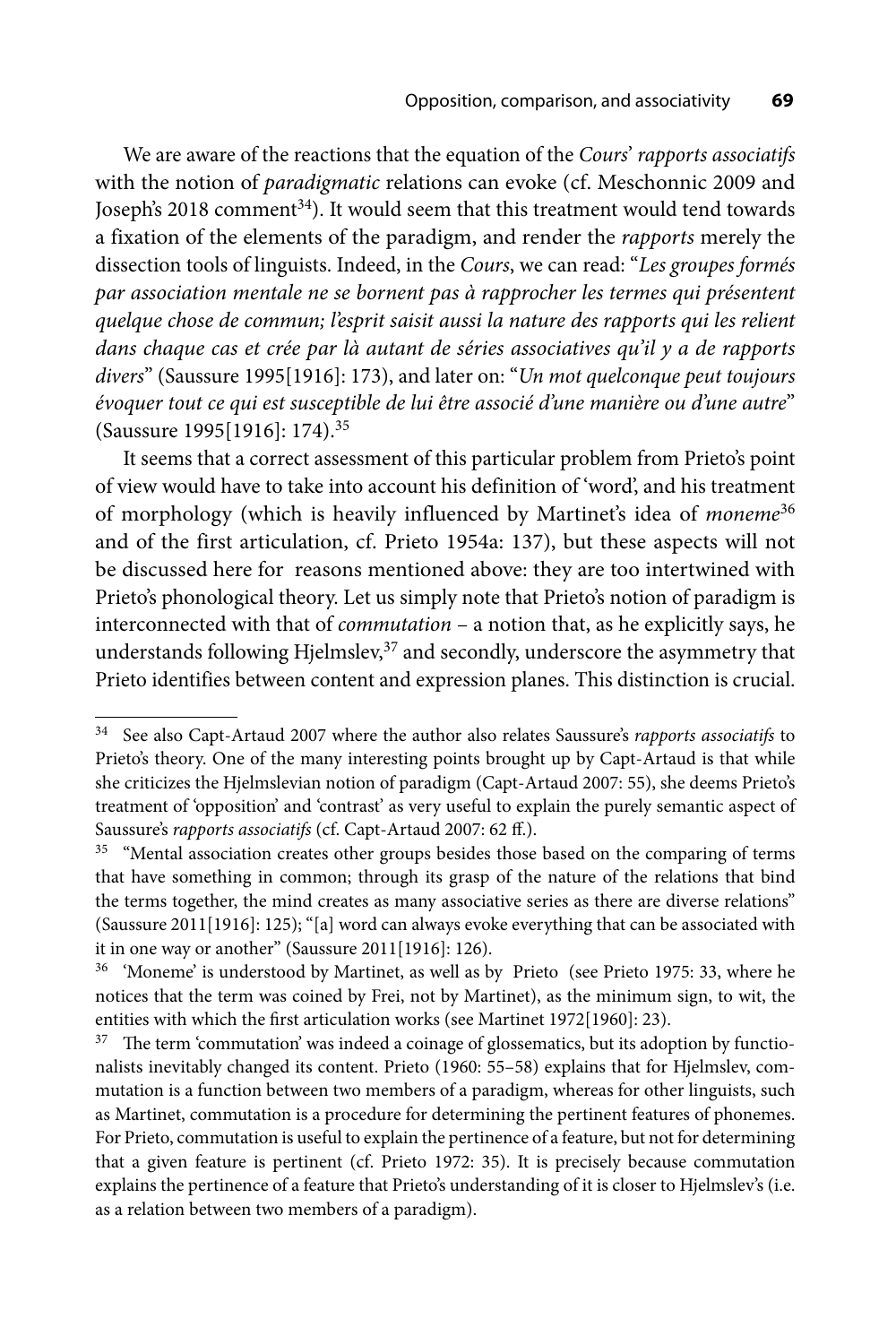We are aware of the reactions that the equation of the *Cours*' *rapports associatifs* with the notion of *paradigmatic* relations can evoke (cf. Meschonnic 2009 and Joseph's 2018 comment<sup>34</sup>). It would seem that this treatment would tend towards a fixation of the elements of the paradigm, and render the *rapports* merely the dissection tools of linguists. Indeed, in the *Cours*, we can read: "*Les groupes formés par association mentale ne se bornent pas à rapprocher les termes qui présentent quelque chose de commun; l'esprit saisit aussi la nature des rapports qui les relient dans chaque cas et crée par là autant de séries associatives qu'il y a de rapports*  divers" (Saussure 1995[1916]: 173), and later on: "*Un mot quelconque peut toujours évoquer tout ce qui est susceptible de lui être associé d'une manière ou d'une autre*" (Saussure 1995[1916]: 174).35

It seems that a correct assessment of this particular problem from Prieto's point of view would have to take into account his definition of 'word', and his treatment of morphology (which is heavily influenced by Martinet's idea of *moneme*<sup>36</sup> and of the first articulation, cf. Prieto 1954a: 137), but these aspects will not be discussed here for reasons mentioned above: they are too intertwined with Prieto's phonological theory. Let us simply note that Prieto's notion of paradigm is interconnected with that of *commutation* – a notion that, as he explicitly says, he understands following Hjelmslev,<sup>37</sup> and secondly, underscore the asymmetry that Prieto identifies between content and expression planes. This distinction is crucial.

<sup>34</sup> See also Capt-Artaud 2007 where the author also relates Saussure's *rapports associatifs* to Prieto's theory. One of the many interesting points brought up by Capt-Artaud is that while she criticizes the Hjelmslevian notion of paradigm (Capt-Artaud 2007: 55), she deems Prieto's treatment of 'opposition' and 'contrast' as very useful to explain the purely semantic aspect of Saussure's *rapports associatifs* (cf. Capt-Artaud 2007: 62 ff.).

<sup>&</sup>lt;sup>35</sup> "Mental association creates other groups besides those based on the comparing of terms that have something in common; through its grasp of the nature of the relations that bind the terms together, the mind creates as many associative series as there are diverse relations" (Saussure 2011[1916]: 125); "[a] word can always evoke everything that can be associated with it in one way or another" (Saussure 2011[1916]: 126).

<sup>&</sup>lt;sup>36</sup> 'Moneme' is understood by Martinet, as well as by Prieto (see Prieto 1975: 33, where he notices that the term was coined by Frei, not by Martinet), as the minimum sign, to wit, the entities with which the first articulation works (see Martinet 1972[1960]: 23).

 $37$  The term 'commutation' was indeed a coinage of glossematics, but its adoption by functionalists inevitably changed its content. Prieto (1960: 55–58) explains that for Hjelmslev, commutation is a function between two members of a paradigm, whereas for other linguists, such as Martinet, commutation is a procedure for determining the pertinent features of phonemes. For Prieto, commutation is useful to explain the pertinence of a feature, but not for determining that a given feature is pertinent (cf. Prieto 1972: 35). It is precisely because commutation explains the pertinence of a feature that Prieto's understanding of it is closer to Hjelmslev's (i.e. as a relation between two members of a paradigm).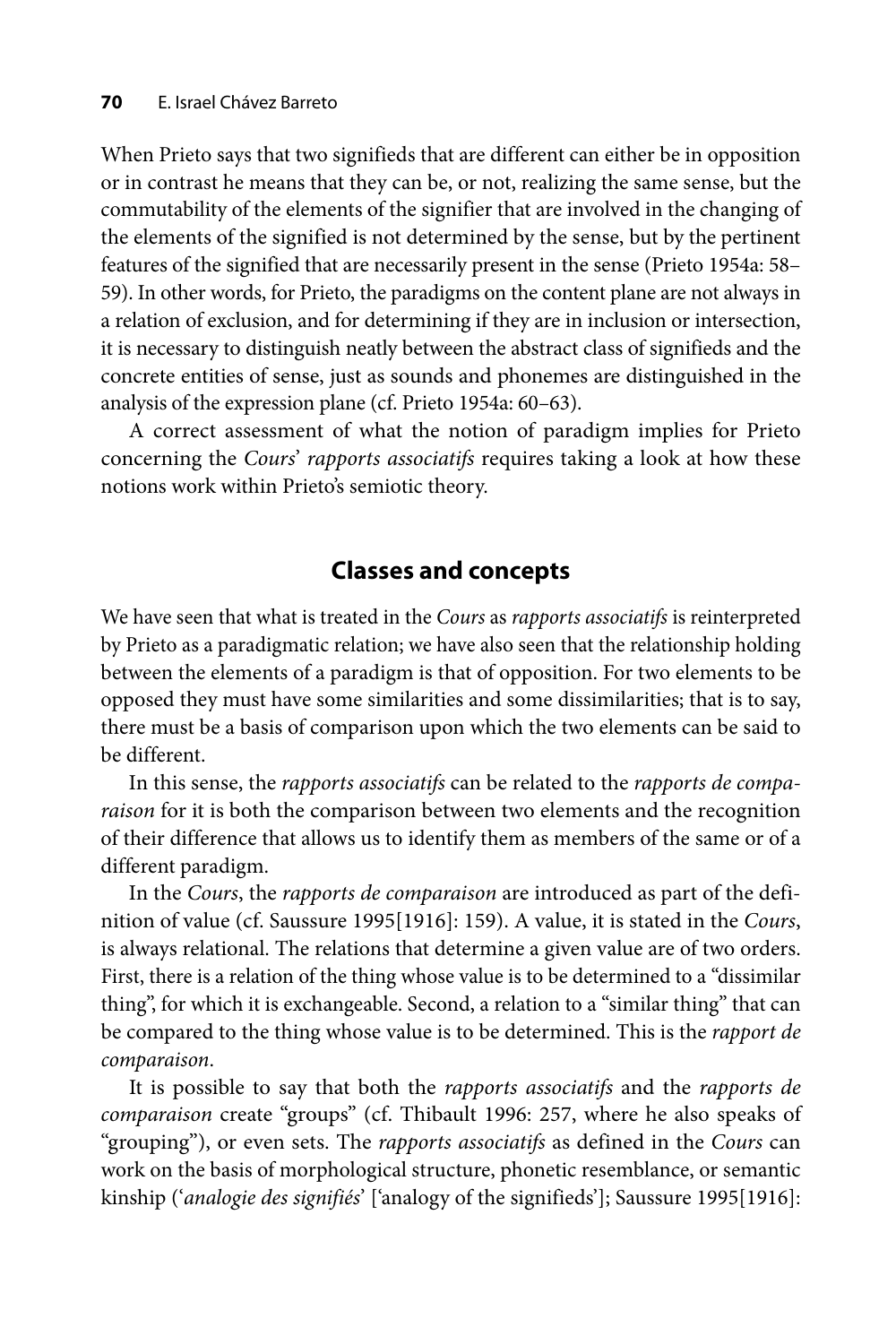When Prieto says that two signifieds that are different can either be in opposition or in contrast he means that they can be, or not, realizing the same sense, but the commutability of the elements of the signifier that are involved in the changing of the elements of the signified is not determined by the sense, but by the pertinent features of the signified that are necessarily present in the sense (Prieto 1954a: 58– 59). In other words, for Prieto, the paradigms on the content plane are not always in a relation of exclusion, and for determining if they are in inclusion or intersection, it is necessary to distinguish neatly between the abstract class of signifieds and the concrete entities of sense, just as sounds and phonemes are distinguished in the analysis of the expression plane (cf. Prieto 1954a: 60–63).

A correct assessment of what the notion of paradigm implies for Prieto concerning the *Cours*' *rapports associatifs* requires taking a look at how these notions work within Prieto's semiotic theory.

#### **Classes and concepts**

We have seen that what is treated in the *Cours* as *rapports associatifs* is reinterpreted by Prieto as a paradigmatic relation; we have also seen that the relationship holding between the elements of a paradigm is that of opposition. For two elements to be opposed they must have some similarities and some dissimilarities; that is to say, there must be a basis of comparison upon which the two elements can be said to be different.

In this sense, the *rapports associatifs* can be related to the *rapports de comparaison* for it is both the comparison between two elements and the recognition of their difference that allows us to identify them as members of the same or of a different paradigm.

In the *Cours*, the *rapports de comparaison* are introduced as part of the definition of value (cf. Saussure 1995[1916]: 159). A value, it is stated in the *Cours*, is always relational. The relations that determine a given value are of two orders. First, there is a relation of the thing whose value is to be determined to a "dissimilar thing", for which it is exchangeable. Second, a relation to a "similar thing" that can be compared to the thing whose value is to be determined. This is the *rapport de comparaison*.

It is possible to say that both the *rapports associatifs* and the *rapports de comparaison* create "groups" (cf. Thibault 1996: 257, where he also speaks of "grouping"), or even sets. The *rapports associatifs* as defined in the *Cours* can work on the basis of morphological structure, phonetic resemblance, or semantic kinship ('*analogie des signifiés*' ['analogy of the signifieds']; Saussure 1995[1916]: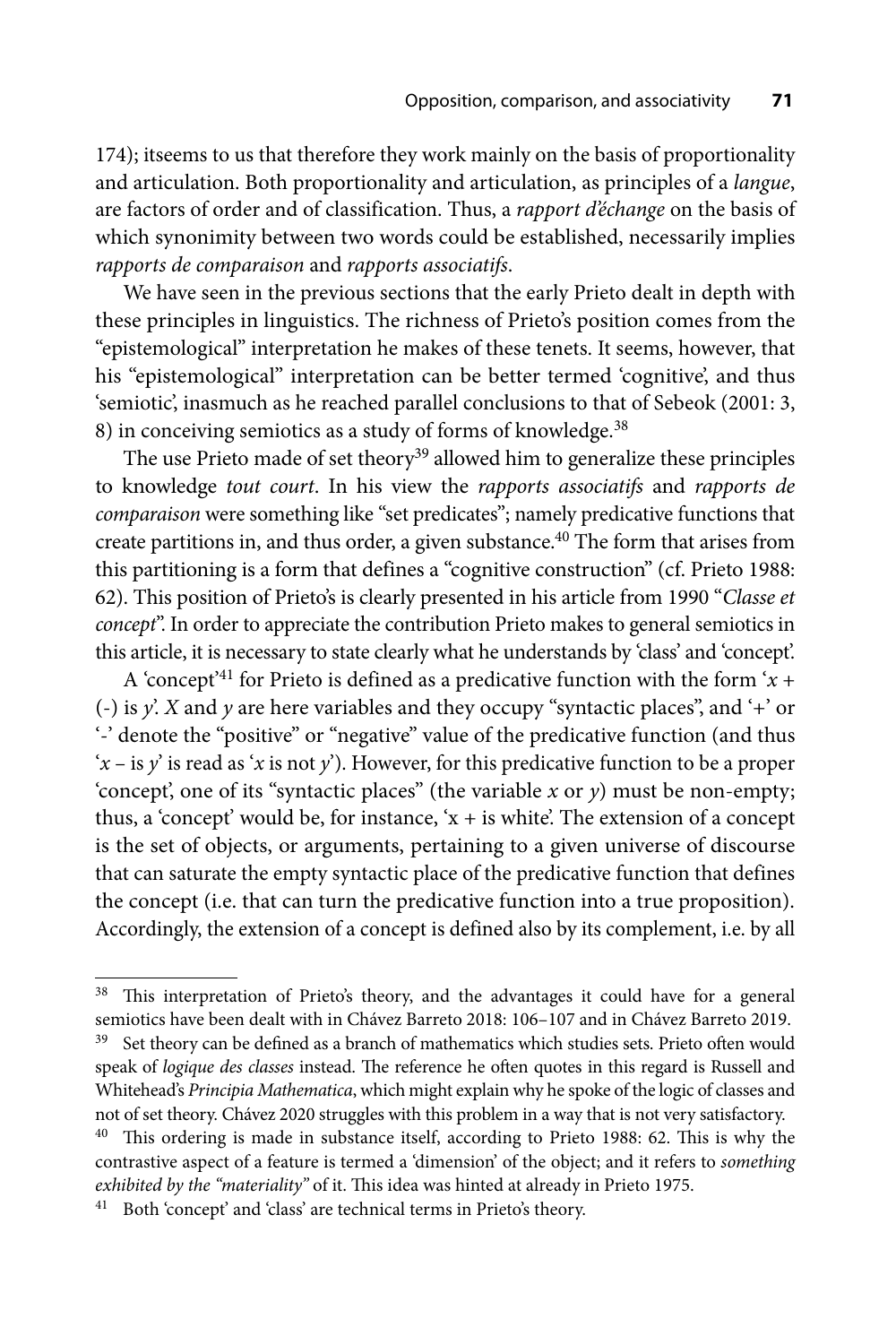174); itseems to us that therefore they work mainly on the basis of proportionality and articulation. Both proportionality and articulation, as principles of a *langue*, are factors of order and of classification. Thus, a *rapport d'échange* on the basis of which synonimity between two words could be established, necessarily implies *rapports de comparaison* and *rapports associatifs*.

We have seen in the previous sections that the early Prieto dealt in depth with these principles in linguistics. The richness of Prieto's position comes from the "epistemological" interpretation he makes of these tenets. It seems, however, that his "epistemological" interpretation can be better termed 'cognitive', and thus 'semiotic', inasmuch as he reached parallel conclusions to that of Sebeok (2001: 3, 8) in conceiving semiotics as a study of forms of knowledge.<sup>38</sup>

The use Prieto made of set theory<sup>39</sup> allowed him to generalize these principles to knowledge *tout court*. In his view the *rapports associatifs* and *rapports de comparaison* were something like "set predicates"; namely predicative functions that create partitions in, and thus order, a given substance.<sup>40</sup> The form that arises from this partitioning is a form that defines a "cognitive construction" (cf. Prieto 1988: 62). This position of Prieto's is clearly presented in his article from 1990 "*Classe et concept*". In order to appreciate the contribution Prieto makes to general semiotics in this article, it is necessary to state clearly what he understands by 'class' and 'concept'.

A 'concept<sup>'41</sup> for Prieto is defined as a predicative function with the form ' $x +$ (-) is *y*'. *X* and *y* are here variables and they occupy "syntactic places", and '+' or '-' denote the "positive" or "negative" value of the predicative function (and thus  $x - i s y'$  is read as '*x* is not *y*'). However, for this predicative function to be a proper 'concept', one of its "syntactic places" (the variable *x* or *y*) must be non-empty; thus, a 'concept' would be, for instance, ' $x +$  is white'. The extension of a concept is the set of objects, or arguments, pertaining to a given universe of discourse that can saturate the empty syntactic place of the predicative function that defines the concept (i.e. that can turn the predicative function into a true proposition). Accordingly, the extension of a concept is defined also by its complement, i.e. by all

<sup>&</sup>lt;sup>38</sup> This interpretation of Prieto's theory, and the advantages it could have for a general semiotics have been dealt with in Chávez Barreto 2018: 106–107 and in Chávez Barreto 2019. <sup>39</sup> Set theory can be defined as a branch of mathematics which studies sets. Prieto often would speak of *logique des classes* instead. The reference he often quotes in this regard is Russell and Whitehead's *Principia Mathematica*, which might explain why he spoke of the logic of classes and not of set theory. Chávez 2020 struggles with this problem in a way that is not very satisfactory.  $40$  This ordering is made in substance itself, according to Prieto 1988: 62. This is why the contrastive aspect of a feature is termed a 'dimension' of the object; and it refers to *something*  exhibited by the "materiality" of it. This idea was hinted at already in Prieto 1975.

<sup>&</sup>lt;sup>41</sup> Both 'concept' and 'class' are technical terms in Prieto's theory.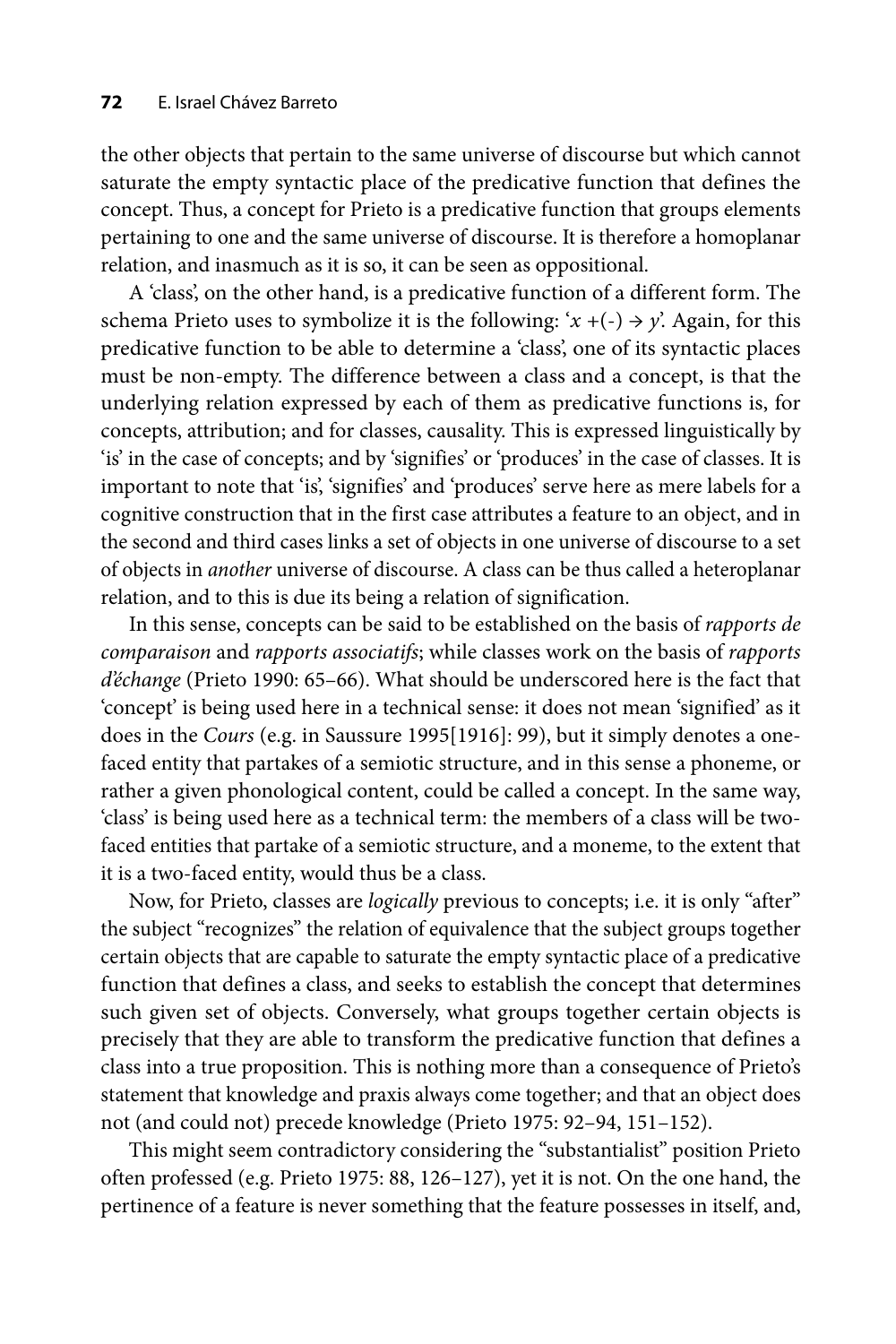the other objects that pertain to the same universe of discourse but which cannot saturate the empty syntactic place of the predicative function that defines the concept. Thus, a concept for Prieto is a predicative function that groups elements pertaining to one and the same universe of discourse. It is therefore a homoplanar relation, and inasmuch as it is so, it can be seen as oppositional.

A 'class', on the other hand, is a predicative function of a different form. The schema Prieto uses to symbolize it is the following:  $x + (-) \rightarrow y$ . Again, for this predicative function to be able to determine a 'class', one of its syntactic places must be non-empty. The difference between a class and a concept, is that the underlying relation expressed by each of them as predicative functions is, for concepts, attribution; and for classes, causality. This is expressed linguistically by 'is' in the case of concepts; and by 'signifies' or 'produces' in the case of classes. It is important to note that 'is', 'signifies' and 'produces' serve here as mere labels for a cognitive construction that in the first case attributes a feature to an object, and in the second and third cases links a set of objects in one universe of discourse to a set of objects in *another* universe of discourse. A class can be thus called a heteroplanar relation, and to this is due its being a relation of signification.

In this sense, concepts can be said to be established on the basis of *rapports de comparaison* and *rapports associatifs*; while classes work on the basis of *rapports d'échange* (Prieto 1990: 65–66). What should be underscored here is the fact that 'concept' is being used here in a technical sense: it does not mean 'signified' as it does in the *Cours* (e.g. in Saussure 1995[1916]: 99), but it simply denotes a onefaced entity that partakes of a semiotic structure, and in this sense a phoneme, or rather a given phonological content, could be called a concept. In the same way, 'class' is being used here as a technical term: the members of a class will be twofaced entities that partake of a semiotic structure, and a moneme, to the extent that it is a two-faced entity, would thus be a class.

Now, for Prieto, classes are *logically* previous to concepts; i.e. it is only "after" the subject "recognizes" the relation of equivalence that the subject groups together certain objects that are capable to saturate the empty syntactic place of a predicative function that defines a class, and seeks to establish the concept that determines such given set of objects. Conversely, what groups together certain objects is precisely that they are able to transform the predicative function that defines a class into a true proposition. This is nothing more than a consequence of Prieto's statement that knowledge and praxis always come together; and that an object does not (and could not) precede knowledge (Prieto 1975: 92–94, 151–152).

This might seem contradictory considering the "substantialist" position Prieto often professed (e.g. Prieto 1975: 88, 126–127), yet it is not. On the one hand, the pertinence of a feature is never something that the feature possesses in itself, and,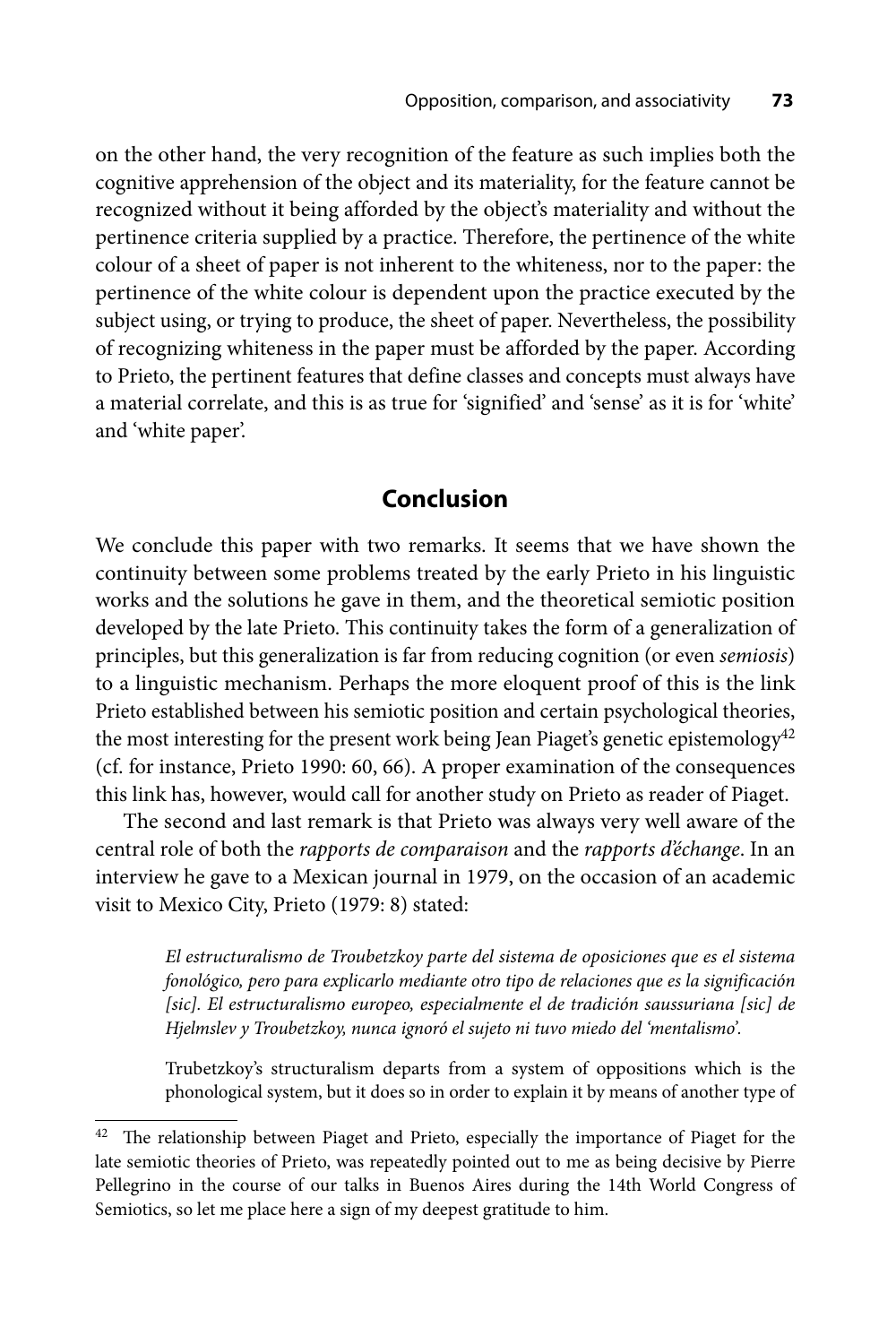on the other hand, the very recognition of the feature as such implies both the cognitive apprehension of the object and its materiality, for the feature cannot be recognized without it being afforded by the object's materiality and without the pertinence criteria supplied by a practice. Therefore, the pertinence of the white colour of a sheet of paper is not inherent to the whiteness, nor to the paper: the pertinence of the white colour is dependent upon the practice executed by the subject using, or trying to produce, the sheet of paper. Nevertheless, the possibility of recognizing whiteness in the paper must be afforded by the paper. According to Prieto, the pertinent features that define classes and concepts must always have a material correlate, and this is as true for 'signified' and 'sense' as it is for 'white' and 'white paper'.

## **Conclusion**

We conclude this paper with two remarks. It seems that we have shown the continuity between some problems treated by the early Prieto in his linguistic works and the solutions he gave in them, and the theoretical semiotic position developed by the late Prieto. This continuity takes the form of a generalization of principles, but this generalization is far from reducing cognition (or even *semiosis*) to a linguistic mechanism. Perhaps the more eloquent proof of this is the link Prieto established between his semiotic position and certain psychological theories, the most interesting for the present work being Jean Piaget's genetic epistemology<sup>42</sup> (cf. for instance, Prieto 1990: 60, 66). A proper examination of the consequences this link has, however, would call for another study on Prieto as reader of Piaget.

The second and last remark is that Prieto was always very well aware of the central role of both the *rapports de comparaison* and the *rapports d'échange*. In an interview he gave to a Mexican journal in 1979, on the occasion of an academic visit to Mexico City, Prieto (1979: 8) stated:

*El estructuralismo de Troubetzkoy parte del sistema de oposiciones que es el sistema fonológico, pero para explicarlo mediante otro tipo de relaciones que es la significación [sic]. El estructuralismo europeo, especialmente el de tradición saussuriana [sic] de Hjelmslev y Troubetzkoy, nunca ignoró el sujeto ni tuvo miedo del 'mentalismo'.*

Trubetzkoy's structuralism departs from a system of oppositions which is the phonological system, but it does so in order to explain it by means of another type of

 $42$  The relationship between Piaget and Prieto, especially the importance of Piaget for the late semiotic theories of Prieto, was repeatedly pointed out to me as being decisive by Pierre Pellegrino in the course of our talks in Buenos Aires during the 14th World Congress of Semiotics, so let me place here a sign of my deepest gratitude to him.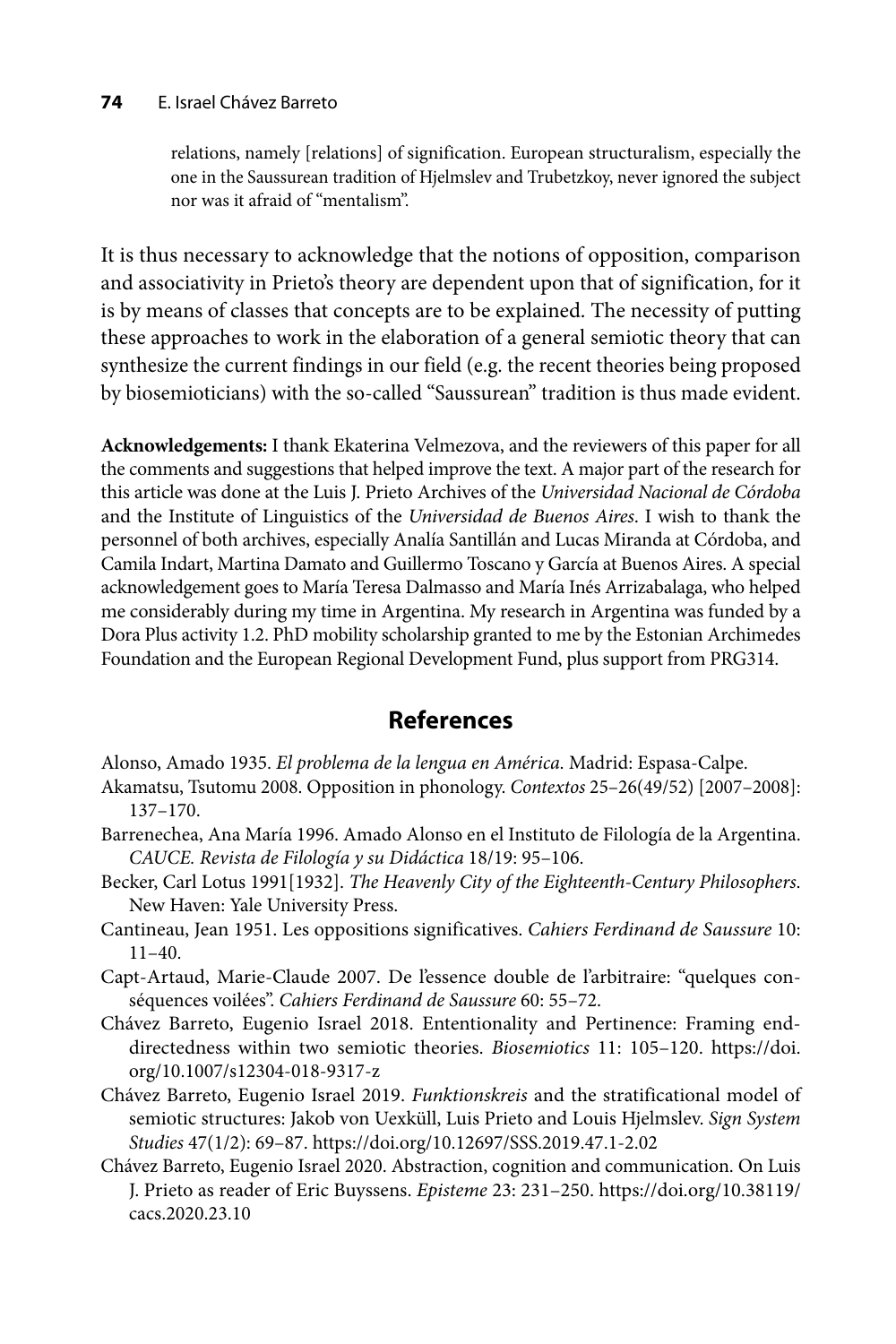#### **74** E. Israel Chávez Barreto

relations, namely [relations] of signification. European structuralism, especially the one in the Saussurean tradition of Hjelmslev and Trubetzkoy, never ignored the subject nor was it afraid of "mentalism".

It is thus necessary to acknowledge that the notions of opposition, comparison and associativity in Prieto's theory are dependent upon that of signification, for it is by means of classes that concepts are to be explained. The necessity of putting these approaches to work in the elaboration of a general semiotic theory that can synthesize the current findings in our field (e.g. the recent theories being proposed by biosemioticians) with the so-called "Saussurean" tradition is thus made evident.

**Acknowledgements:** I thank Ekaterina Velmezova, and the reviewers of this paper for all the comments and suggestions that helped improve the text. A major part of the research for this article was done at the Luis J. Prieto Archives of the *Universidad Nacional de Córdoba* and the Institute of Linguistics of the *Universidad de Buenos Aires*. I wish to thank the personnel of both archives, especially Analía Santillán and Lucas Miranda at Córdoba, and Camila Indart, Martina Damato and Guillermo Toscano y García at Buenos Aires. A special acknowledgement goes to María Teresa Dalmasso and María Inés Arrizabalaga, who helped me considerably during my time in Argentina. My research in Argentina was funded by a Dora Plus activity 1.2. PhD mobility scholarship granted to me by the Estonian Archimedes Foundation and the European Regional Development Fund, plus support from PRG314.

## **References**

Alonso, Amado 1935. *El problema de la lengua en América*. Madrid: Espasa-Calpe.

- Akamatsu, Tsutomu 2008. Opposition in phonology. *Contextos* 25–26(49/52) [2007–2008]: 137–170.
- Barrenechea, Ana María 1996. Amado Alonso en el Instituto de Filología de la Argentina. *CAUCE. Revista de Filología y su Didáctica* 18/19: 95–106.
- Becker, Carl Lotus 1991[1932]. *The Heavenly City of the Eighteenth-Century Philosophers*. New Haven: Yale University Press.
- Cantineau, Jean 1951. Les oppositions significatives. *Cahiers Ferdinand de Saussure* 10: 11–40.
- Capt-Artaud, Marie-Claude 2007. De l'essence double de l'arbitraire: "quelques conséquences voilées". *Cahiers Ferdinand de Saussure* 60: 55–72.
- Chávez Barreto, Eugenio Israel 2018. Ententionality and Pertinence: Framing end[directedness within two semiotic theories.](https://doi.org/10.1007/s12304-018-9317-z) *Biosemiotics* 11: 105–120. https://doi. org/10.1007/s12304-018-9317-z
- Chávez Barreto, Eugenio Israel 2019. *Funktionskreis* and the stratificational model of semiotic structures: Jakob von Uexküll, Luis Prieto and Louis Hjelmslev. *Sign System Studies* 47(1/2): 69–87. https://doi.org/10.12697/SSS.2019.47.1-2.02
- Chávez Barreto, Eugenio Israel 2020. Abstraction, cognition and communication. On Luis J. Prieto as reader of Eric Buyssens. *Episteme* [23: 231–250. https://doi.org/10.38119/](https://doi.org/10.38119/cacs.2020.23.10) cacs.2020.23.10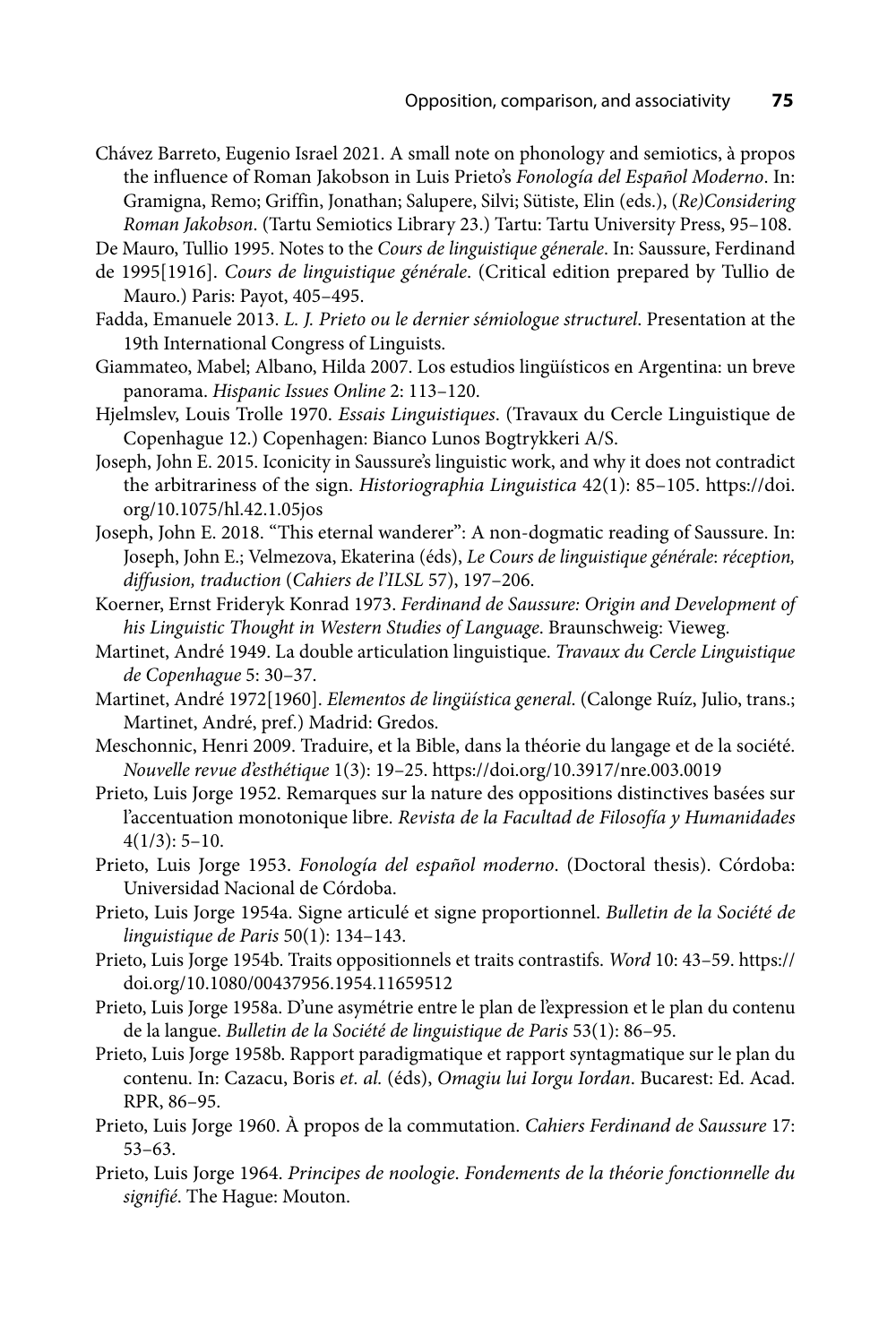Chávez Barreto, Eugenio Israel 2021. A small note on phonology and semiotics, à propos the influence of Roman Jakobson in Luis Prieto's *Fonología del Español Moderno*. In: Gramigna, Remo; Griffin, Jonathan; Salupere, Silvi; Sütiste, Elin (eds.), (*Re)Considering Roman Jakobson*. (Tartu Semiotics Library 23.) Tartu: Tartu University Press, 95–108.

De Mauro, Tullio 1995. Notes to the *Cours de linguistique génerale*. In: Saussure, Ferdinand

- de 1995[1916]. *Cours de linguistique générale*. (Critical edition prepared by Tullio de Mauro.) Paris: Payot, 405–495.
- Fadda, Emanuele 2013. *L. J. Prieto ou le dernier sémiologue structurel*. Presentation at the 19th International Congress of Linguists.
- Giammateo, Mabel; Albano, Hilda 2007. Los estudios lingüísticos en Argentina: un breve panorama. *Hispanic Issues Online* 2: 113–120.
- Hjelmslev, Louis Trolle 1970. *Essais Linguistiques*. (Travaux du Cercle Linguistique de Copenhague 12.) Copenhagen: Bianco Lunos Bogtrykkeri A/S.
- Joseph, John E. 2015. Iconicity in Saussure's linguistic work, and why it does not contradict [the arbitrariness of the sign.](https://doi.org/10.1075/hl.42.1.05jos) *Historiographia Linguistica* 42(1): 85–105. https://doi. org/10.1075/hl.42.1.05jos
- Joseph, John E. 2018. "This eternal wanderer": A non-dogmatic reading of Saussure. In: Joseph, John E.; Velmezova, Ekaterina (éds), *Le Cours de linguistique générale*: *réception, diffusion, traduction* (*Cahiers de l'ILSL* 57), 197–206.
- Koerner, Ernst Frideryk Konrad 1973. *Ferdinand de Saussure: Origin and Development of his Linguistic Thought in Western Studies of Language*. Braunschweig: Vieweg.
- Martinet, André 1949. La double articulation linguistique. *Travaux du Cercle Linguistique de Copenhague* 5: 30–37.
- Martinet, André 1972[1960]. *Elementos de lingüística general*. (Calonge Ruíz, Julio, trans.; Martinet, André, pref.) Madrid: Gredos.
- Meschonnic, Henri 2009. Traduire, et la Bible, dans la théorie du langage et de la société. *Nouvelle revue d'esthétique* 1(3): 19–25. https://doi.org/10.3917/nre.003.0019
- Prieto, Luis Jorge 1952. Remarques sur la nature des oppositions distinctives basées sur l'accentuation monotonique libre. *Revista de la Facultad de Filosofía y Humanidades*  $4(1/3): 5-10.$
- Prieto, Luis Jorge 1953. *Fonología del español moderno*. (Doctoral thesis). Córdoba: Universidad Nacional de Córdoba.
- Prieto, Luis Jorge 1954a. Signe articulé et signe proportionnel. *Bulletin de la Société de linguistique de Paris* 50(1): 134–143.
- Prieto, Luis Jorge 1954b. Traits oppositionnels et traits contrastifs. *Word* 10: 43–59. https:// doi.org/10.1080/00437956.1954.11659512
- Prieto, Luis Jorge 1958a. D'une asymétrie entre le plan de l'expression et le plan du contenu de la langue. *Bulletin de la Société de linguistique de Paris* 53(1): 86–95.
- Prieto, Luis Jorge 1958b. Rapport paradigmatique et rapport syntagmatique sur le plan du contenu. In: Cazacu, Boris *et. al.* (éds), *Omagiu lui Iorgu Iordan*. Bucarest: Ed. Acad. RPR, 86–95.
- Prieto, Luis Jorge 1960. À propos de la commutation. *Cahiers Ferdinand de Saussure* 17: 53–63.
- Prieto, Luis Jorge 1964. *Principes de noologie*. *Fondements de la théorie fonctionnelle du signifié*. The Hague: Mouton.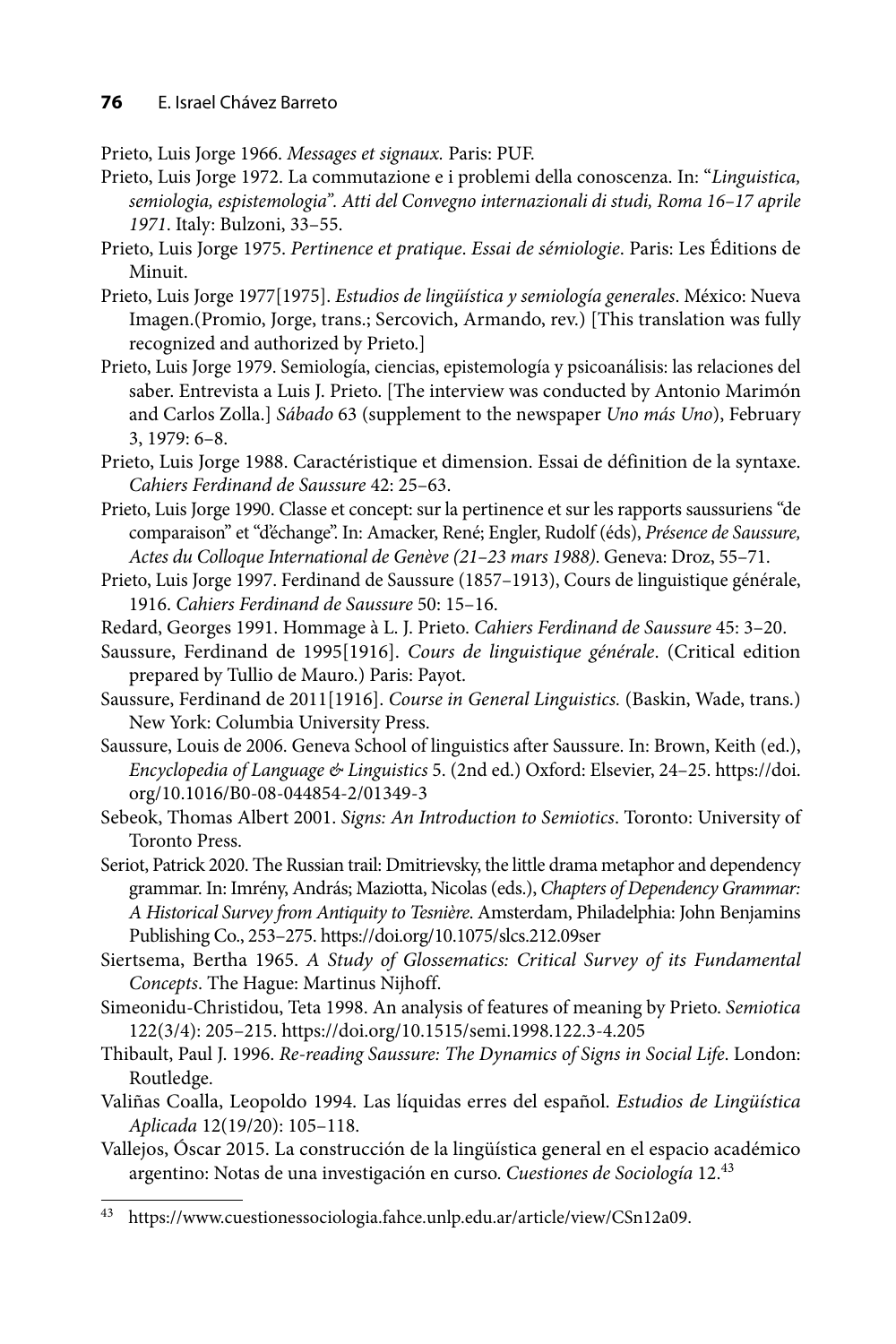Prieto, Luis Jorge 1966. *Messages et signaux.* Paris: PUF.

- Prieto, Luis Jorge 1972. La commutazione e i problemi della conoscenza. In: "*Linguistica, semiologia, espistemologia". Atti del Convegno internazionali di studi, Roma 16–17 aprile 1971*. Italy: Bulzoni, 33–55.
- Prieto, Luis Jorge 1975. *Pertinence et pratique*. *Essai de sémiologie*. Paris: Les Éditions de Minuit.
- Prieto, Luis Jorge 1977[1975]. *Estudios de lingüística y semiología generales*. México: Nueva Imagen.(Promio, Jorge, trans.; Sercovich, Armando, rev.) [This translation was fully recognized and authorized by Prieto.]
- Prieto, Luis Jorge 1979. Semiología, ciencias, epistemología y psicoanálisis: las relaciones del saber. Entrevista a Luis J. Prieto. [The interview was conducted by Antonio Marimón and Carlos Zolla.] *Sábado* 63 (supplement to the newspaper *Uno más Uno*), February 3, 1979: 6–8.
- Prieto, Luis Jorge 1988. Caractéristique et dimension. Essai de définition de la syntaxe. *Cahiers Ferdinand de Saussure* 42: 25–63.
- Prieto, Luis Jorge 1990. Classe et concept: sur la pertinence et sur les rapports saussuriens "de comparaison" et "d'échange". In: Amacker, René; Engler, Rudolf (éds), *Présence de Saussure, Actes du Colloque International de Genève (21–23 mars 1988)*. Geneva: Droz, 55–71.
- Prieto, Luis Jorge 1997. Ferdinand de Saussure (1857–1913), Cours de linguistique générale, 1916. *Cahiers Ferdinand de Saussure* 50: 15–16.
- Redard, Georges 1991. Hommage à L. J. Prieto. *Cahiers Ferdinand de Saussure* 45: 3–20.
- Saussure, Ferdinand de 1995[1916]. *Cours de linguistique générale*. (Critical edition prepared by Tullio de Mauro.) Paris: Payot.
- Saussure, Ferdinand de 2011[1916]. *Course in General Linguistics.* (Baskin, Wade, trans.) New York: Columbia University Press.
- Saussure, Louis de 2006. Geneva School of linguistics after Saussure. In: Brown, Keith (ed.), *Encyclopedia of Language & Linguistics* 5. [\(2nd ed.\) Oxford: Elsevier, 24–25. https://doi.](https://doi.org/10.1016/B0-08-044854-2/01349-3) org/10.1016/B0-08-044854-2/01349-3
- Sebeok, Thomas Albert 2001. *Signs: An Introduction to Semiotics*. Toronto: University of Toronto Press.
- Seriot, Patrick 2020. The Russian trail: Dmitrievsky, the little drama metaphor and dependency grammar. In: Imrény, András; Maziotta, Nicolas (eds.), *Chapters of Dependency Grammar: A Historical Survey from Antiquity to Tesnière*. Amsterdam, Philadelphia: John Benjamins Publishing Co., 253–275. https://doi.org/10.1075/slcs.212.09ser
- Siertsema, Bertha 1965. *A Study of Glossematics: Critical Survey of its Fundamental Concepts*. The Hague: Martinus Nijhoff.
- Simeonidu-Christidou, Teta 1998. An analysis of features of meaning by Prieto. *Semiotica*  122(3/4): 205–215. https://doi.org/10.1515/semi.1998.122.3-4.205
- Thibault, Paul J. 1996. *Re-reading Saussure: The Dynamics of Signs in Social Life*. London: Routledge.
- Valiñas Coalla, Leopoldo 1994. Las líquidas erres del español. *Estudios de Lingüística Aplicada* 12(19/20): 105–118.
- Vallejos, Óscar 2015. La construcción de la lingüística general en el espacio académico argentino: Notas de una investigación en curso. *Cuestiones de Sociología* 12.<sup>43</sup>

<sup>43</sup> https://www.cuestionessociologia.fahce.unlp.edu.ar/article/view/CSn12a09.